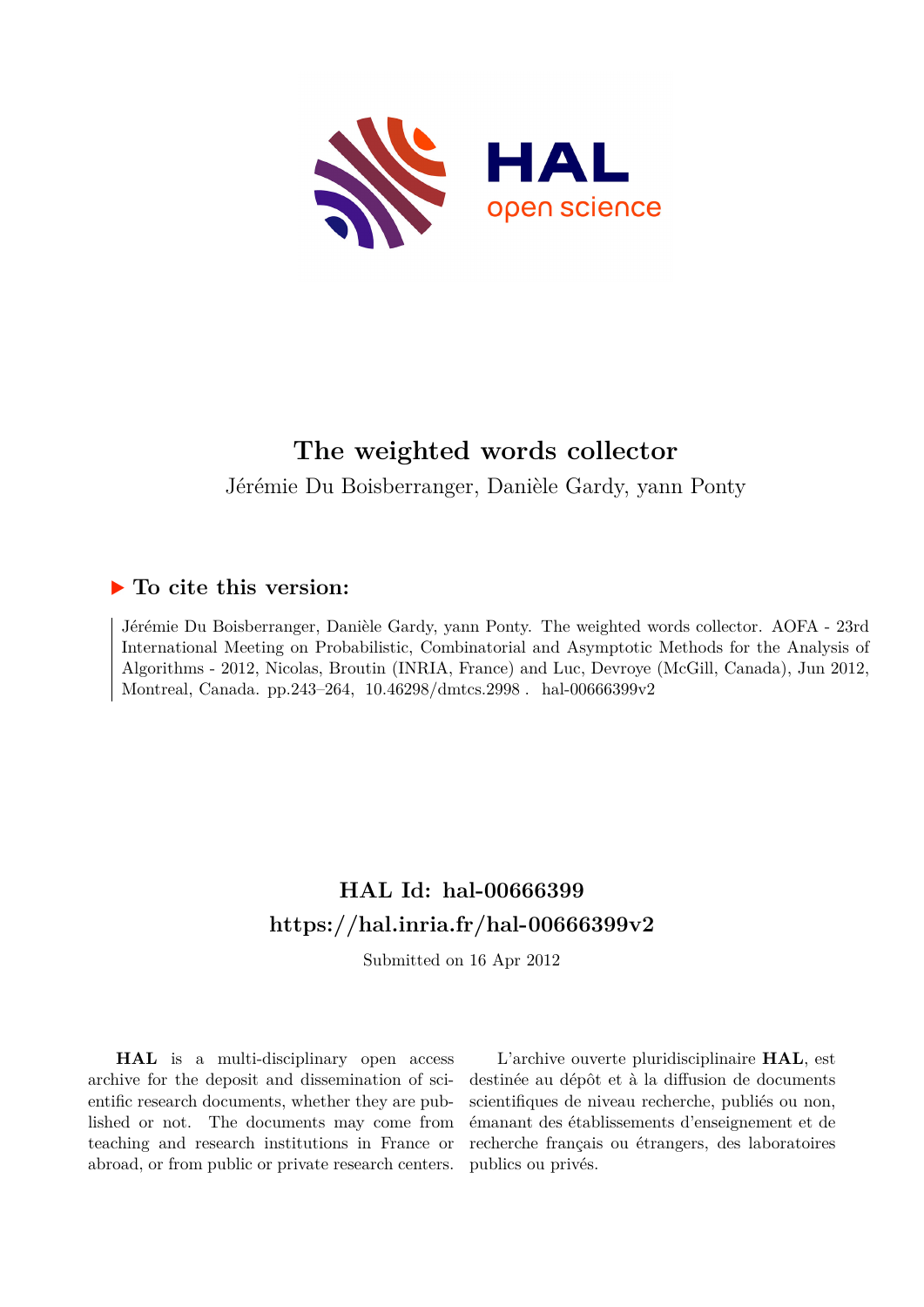

Jérémie Du Boisberranger, Danièle Gardy, yann Ponty

# **To cite this version:**

Jérémie Du Boisberranger, Danièle Gardy, yann Ponty. The weighted words collector. AOFA - 23rd International Meeting on Probabilistic, Combinatorial and Asymptotic Methods for the Analysis of Algorithms - 2012, Nicolas, Broutin (INRIA, France) and Luc, Devroye (McGill, Canada), Jun 2012, Montreal, Canada. pp.243-264, 10.46298/dmtcs.2998. hal-00666399v2

# **HAL Id: hal-00666399 <https://hal.inria.fr/hal-00666399v2>**

Submitted on 16 Apr 2012

**HAL** is a multi-disciplinary open access archive for the deposit and dissemination of scientific research documents, whether they are published or not. The documents may come from teaching and research institutions in France or abroad, or from public or private research centers.

L'archive ouverte pluridisciplinaire **HAL**, est destinée au dépôt et à la diffusion de documents scientifiques de niveau recherche, publiés ou non, émanant des établissements d'enseignement et de recherche français ou étrangers, des laboratoires publics ou privés.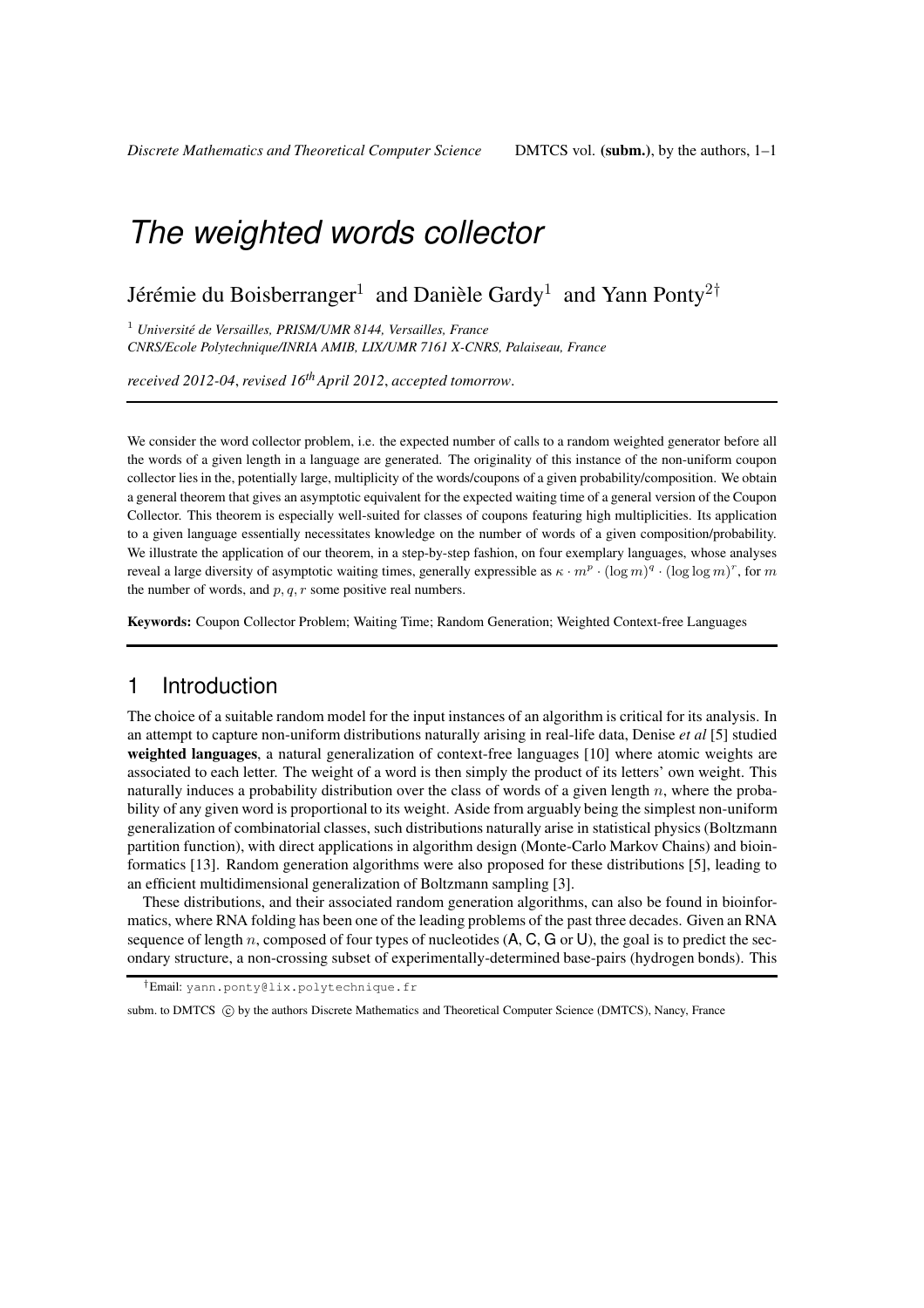# Jérémie du Boisberranger $^1$  and Danièle Gardy $^1$  and Yann Ponty $^{2\dagger}$

<sup>1</sup> Université de Versailles, PRISM/UMR 8144, Versailles, France *CNRS/Ecole Polytechnique/INRIA AMIB, LIX/UMR 7161 X-CNRS, Palaiseau, France*

*received 2012-04*, *revised 16thApril 2012*, *accepted tomorrow*.

We consider the word collector problem, i.e. the expected number of calls to a random weighted generator before all the words of a given length in a language are generated. The originality of this instance of the non-uniform coupon collector lies in the, potentially large, multiplicity of the words/coupons of a given probability/composition. We obtain a general theorem that gives an asymptotic equivalent for the expected waiting time of a general version of the Coupon Collector. This theorem is especially well-suited for classes of coupons featuring high multiplicities. Its application to a given language essentially necessitates knowledge on the number of words of a given composition/probability. We illustrate the application of our theorem, in a step-by-step fashion, on four exemplary languages, whose analyses reveal a large diversity of asymptotic waiting times, generally expressible as  $\kappa \cdot m^p \cdot (\log m)^q \cdot (\log \log m)^r$ , for m the number of words, and  $p, q, r$  some positive real numbers.

Keywords: Coupon Collector Problem; Waiting Time; Random Generation; Weighted Context-free Languages

## 1 Introduction

The choice of a suitable random model for the input instances of an algorithm is critical for its analysis. In an attempt to capture non-uniform distributions naturally arising in real-life data, Denise *et al* [5] studied weighted languages, a natural generalization of context-free languages [10] where atomic weights are associated to each letter. The weight of a word is then simply the product of its letters' own weight. This naturally induces a probability distribution over the class of words of a given length  $n$ , where the probability of any given word is proportional to its weight. Aside from arguably being the simplest non-uniform generalization of combinatorial classes, such distributions naturally arise in statistical physics (Boltzmann partition function), with direct applications in algorithm design (Monte-Carlo Markov Chains) and bioinformatics [13]. Random generation algorithms were also proposed for these distributions [5], leading to an efficient multidimensional generalization of Boltzmann sampling [3].

These distributions, and their associated random generation algorithms, can also be found in bioinformatics, where RNA folding has been one of the leading problems of the past three decades. Given an RNA sequence of length n, composed of four types of nucleotides  $(A, C, G, \sigma, U)$ , the goal is to predict the secondary structure, a non-crossing subset of experimentally-determined base-pairs (hydrogen bonds). This

†Email: yann.ponty@lix.polytechnique.fr

subm. to DMTCS (C) by the authors Discrete Mathematics and Theoretical Computer Science (DMTCS), Nancy, France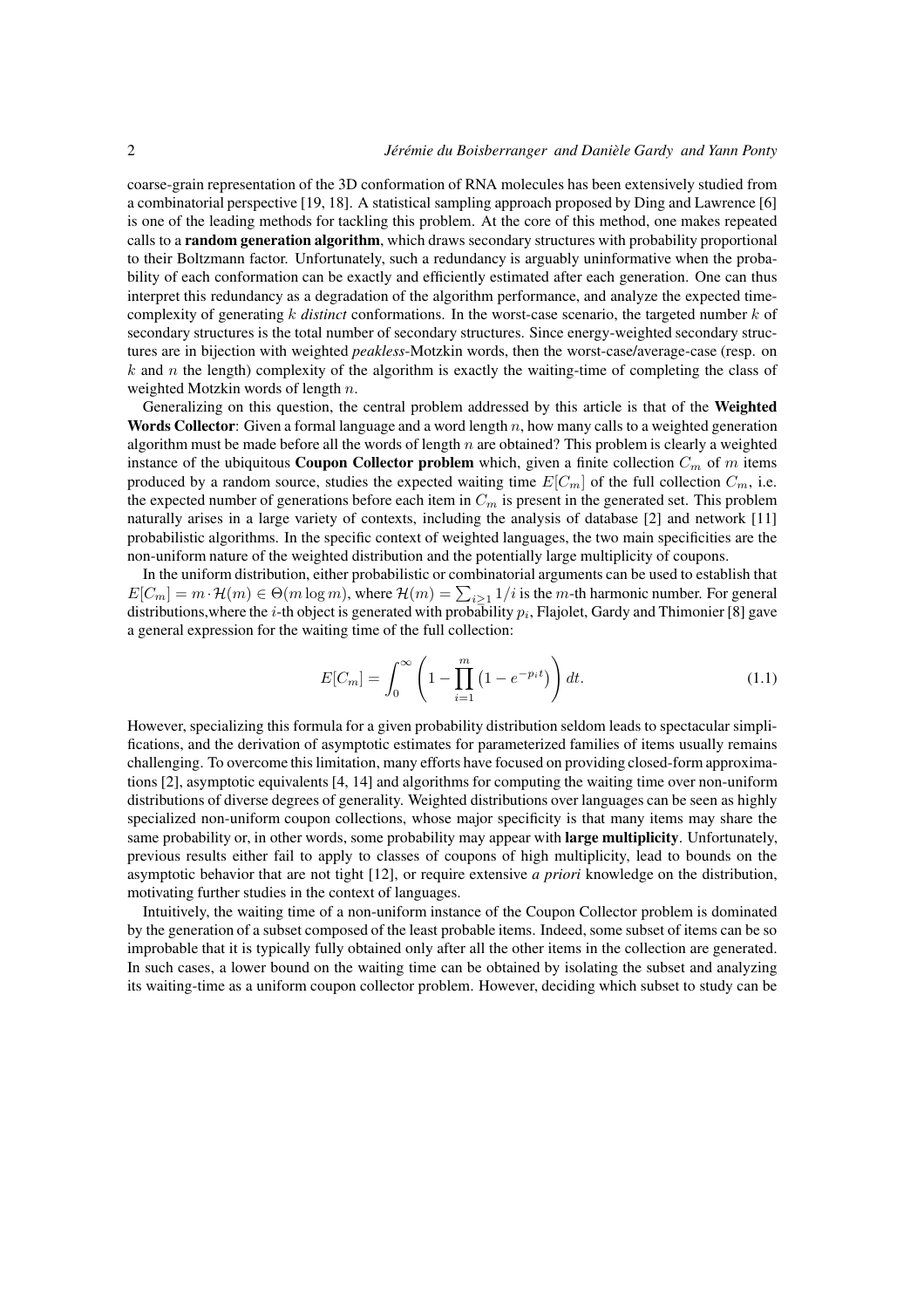coarse-grain representation of the 3D conformation of RNA molecules has been extensively studied from a combinatorial perspective [19, 18]. A statistical sampling approach proposed by Ding and Lawrence [6] is one of the leading methods for tackling this problem. At the core of this method, one makes repeated calls to a random generation algorithm, which draws secondary structures with probability proportional to their Boltzmann factor. Unfortunately, such a redundancy is arguably uninformative when the probability of each conformation can be exactly and efficiently estimated after each generation. One can thus interpret this redundancy as a degradation of the algorithm performance, and analyze the expected timecomplexity of generating k *distinct* conformations. In the worst-case scenario, the targeted number k of secondary structures is the total number of secondary structures. Since energy-weighted secondary structures are in bijection with weighted *peakless*-Motzkin words, then the worst-case/average-case (resp. on k and n the length) complexity of the algorithm is exactly the waiting-time of completing the class of weighted Motzkin words of length n.

Generalizing on this question, the central problem addressed by this article is that of the Weighted **Words Collector:** Given a formal language and a word length  $n$ , how many calls to a weighted generation algorithm must be made before all the words of length  $n$  are obtained? This problem is clearly a weighted instance of the ubiquitous **Coupon Collector problem** which, given a finite collection  $C_m$  of m items produced by a random source, studies the expected waiting time  $E[C_m]$  of the full collection  $C_m$ , i.e. the expected number of generations before each item in  $C_m$  is present in the generated set. This problem naturally arises in a large variety of contexts, including the analysis of database [2] and network [11] probabilistic algorithms. In the specific context of weighted languages, the two main specificities are the non-uniform nature of the weighted distribution and the potentially large multiplicity of coupons.

In the uniform distribution, either probabilistic or combinatorial arguments can be used to establish that  $E[C_m] = m \cdot \mathcal{H}(m) \in \Theta(m \log m)$ , where  $\mathcal{H}(m) = \sum_{i \geq 1} 1/i$  is the m-th harmonic number. For general distributions,where the  $i$ -th object is generated with probability  $p_i$ , Flajolet, Gardy and Thimonier [8] gave a general expression for the waiting time of the full collection:

$$
E[C_m] = \int_0^\infty \left(1 - \prod_{i=1}^m \left(1 - e^{-p_i t}\right)\right) dt.
$$
 (1.1)

However, specializing this formula for a given probability distribution seldom leads to spectacular simplifications, and the derivation of asymptotic estimates for parameterized families of items usually remains challenging. To overcome this limitation, many efforts have focused on providing closed-form approximations [2], asymptotic equivalents [4, 14] and algorithms for computing the waiting time over non-uniform distributions of diverse degrees of generality. Weighted distributions over languages can be seen as highly specialized non-uniform coupon collections, whose major specificity is that many items may share the same probability or, in other words, some probability may appear with **large multiplicity**. Unfortunately, previous results either fail to apply to classes of coupons of high multiplicity, lead to bounds on the asymptotic behavior that are not tight [12], or require extensive *a priori* knowledge on the distribution, motivating further studies in the context of languages.

Intuitively, the waiting time of a non-uniform instance of the Coupon Collector problem is dominated by the generation of a subset composed of the least probable items. Indeed, some subset of items can be so improbable that it is typically fully obtained only after all the other items in the collection are generated. In such cases, a lower bound on the waiting time can be obtained by isolating the subset and analyzing its waiting-time as a uniform coupon collector problem. However, deciding which subset to study can be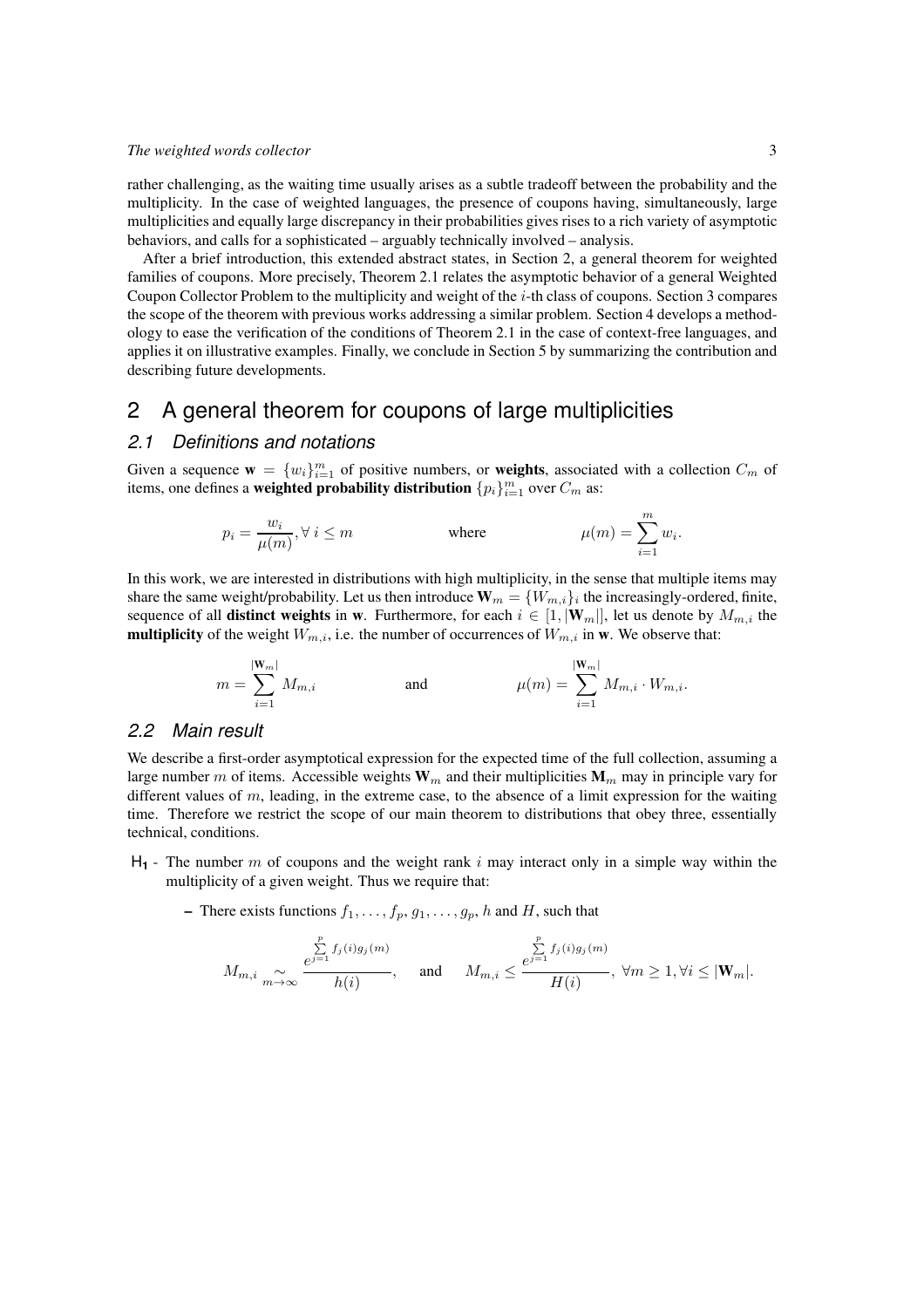rather challenging, as the waiting time usually arises as a subtle tradeoff between the probability and the multiplicity. In the case of weighted languages, the presence of coupons having, simultaneously, large multiplicities and equally large discrepancy in their probabilities gives rises to a rich variety of asymptotic behaviors, and calls for a sophisticated – arguably technically involved – analysis.

After a brief introduction, this extended abstract states, in Section 2, a general theorem for weighted families of coupons. More precisely, Theorem 2.1 relates the asymptotic behavior of a general Weighted Coupon Collector Problem to the multiplicity and weight of the i-th class of coupons. Section 3 compares the scope of the theorem with previous works addressing a similar problem. Section 4 develops a methodology to ease the verification of the conditions of Theorem 2.1 in the case of context-free languages, and applies it on illustrative examples. Finally, we conclude in Section 5 by summarizing the contribution and describing future developments.

## 2 A general theorem for coupons of large multiplicities

### *2.1 Definitions and notations*

Given a sequence  $\mathbf{w} = \{w_i\}_{i=1}^m$  of positive numbers, or **weights**, associated with a collection  $C_m$  of items, one defines a **weighted probability distribution**  $\{p_i\}_{i=1}^m$  over  $C_m$  as:

$$
p_i = \frac{w_i}{\mu(m)}, \forall \ i \leq m \qquad \qquad \text{where} \qquad \qquad \mu(m) = \sum_{i=1}^m w_i.
$$

In this work, we are interested in distributions with high multiplicity, in the sense that multiple items may share the same weight/probability. Let us then introduce  $\mathbf{W}_m = \{W_{m,i}\}_i$  the increasingly-ordered, finite, sequence of all **distinct weights** in w. Furthermore, for each  $i \in [1, |\mathbf{W}_m|]$ , let us denote by  $M_{m,i}$  the **multiplicity** of the weight  $W_{m,i}$ , i.e. the number of occurrences of  $W_{m,i}$  in w. We observe that:

$$
m = \sum_{i=1}^{|W_m|} M_{m,i} \quad \text{and} \quad \mu(m) = \sum_{i=1}^{|W_m|} M_{m,i} \cdot W_{m,i}.
$$

### *2.2 Main result*

We describe a first-order asymptotical expression for the expected time of the full collection, assuming a large number m of items. Accessible weights  $W_m$  and their multiplicities  $M_m$  may in principle vary for different values of  $m$ , leading, in the extreme case, to the absence of a limit expression for the waiting time. Therefore we restrict the scope of our main theorem to distributions that obey three, essentially technical, conditions.

- $H_1$  The number m of coupons and the weight rank i may interact only in a simple way within the multiplicity of a given weight. Thus we require that:
	- There exists functions  $f_1, \ldots, f_p, g_1, \ldots, g_p, h$  and H, such that

$$
M_{m,i}\underset{m\rightarrow\infty}{\sim}\frac{\sum\limits_{\mathcal{C}^{j=1}}^{p}f_{j}(i)g_{j}(m)}{h(i)},\quad \text{ and }\quad M_{m,i}\leq\frac{\sum\limits_{\mathcal{C}^{j=1}}^{p}f_{j}(i)g_{j}(m)}{H(i)},\ \forall m\geq1,\forall i\leq|\mathbf{W}_{m}|.
$$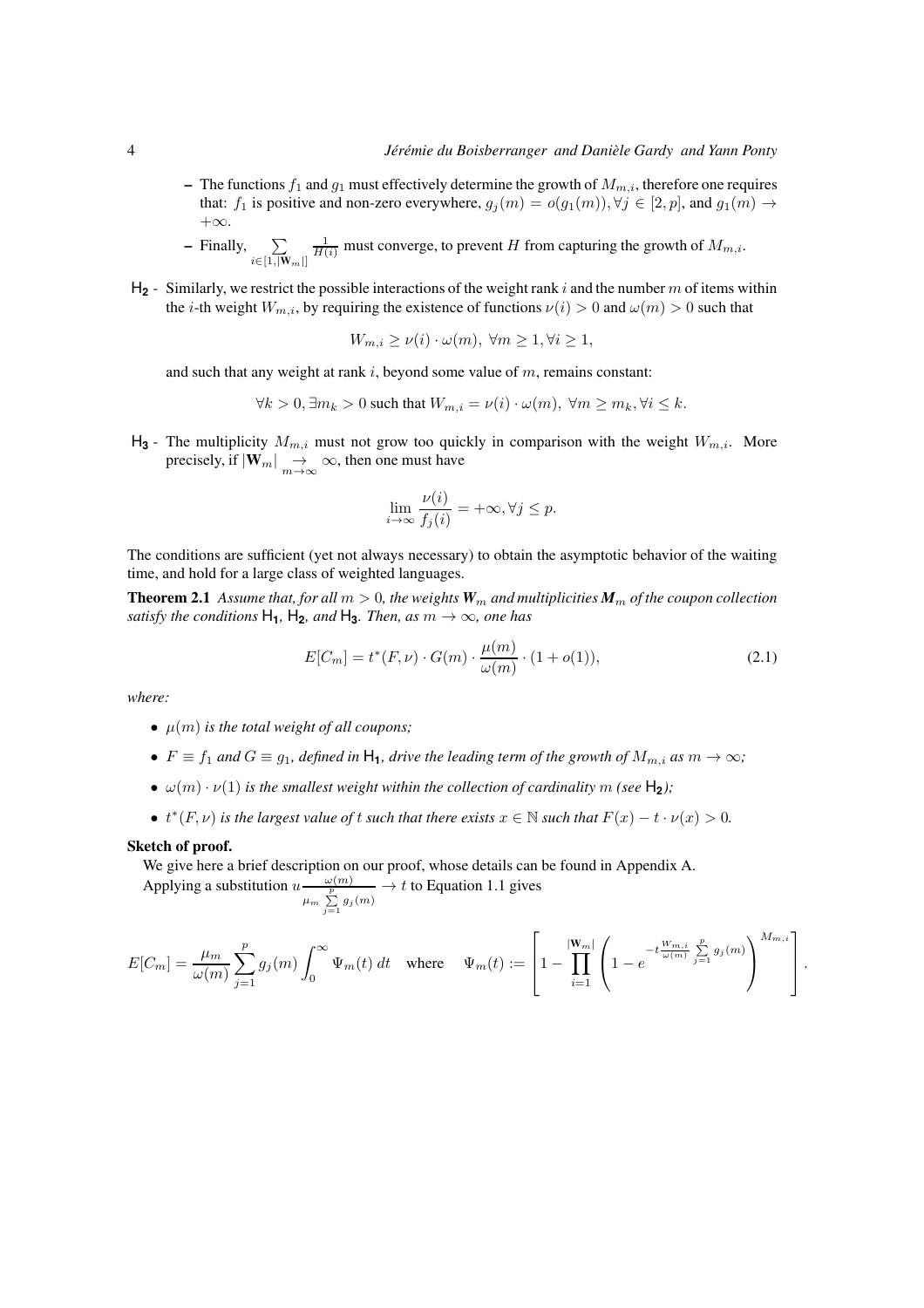- The functions  $f_1$  and  $g_1$  must effectively determine the growth of  $M_{m,i}$ , therefore one requires that:  $f_1$  is positive and non-zero everywhere,  $g_j(m) = o(g_1(m)), \forall j \in [2, p]$ , and  $g_1(m) \rightarrow$  $+\infty$ .
- $-$  Finally,  $\sum$  $i \in [1,|\mathbf{W}_m|]$  $\frac{1}{H(i)}$  must converge, to prevent H from capturing the growth of  $M_{m,i}$ .
- $H_2$  Similarly, we restrict the possible interactions of the weight rank i and the number m of items within the *i*-th weight  $W_{m,i}$ , by requiring the existence of functions  $\nu(i) > 0$  and  $\omega(m) > 0$  such that

$$
W_{m,i} \ge \nu(i) \cdot \omega(m), \ \forall m \ge 1, \forall i \ge 1,
$$

and such that any weight at rank i, beyond some value of  $m$ , remains constant:

$$
\forall k > 0, \exists m_k > 0 \text{ such that } W_{m,i} = \nu(i) \cdot \omega(m), \ \forall m \ge m_k, \forall i \le k.
$$

 $H_3$  - The multiplicity  $M_{m,i}$  must not grow too quickly in comparison with the weight  $W_{m,i}$ . More precisely, if  $|\mathbf{W}_m| \underset{m \to \infty}{\to} \infty$ , then one must have

$$
\lim_{i \to \infty} \frac{\nu(i)}{f_j(i)} = +\infty, \forall j \le p.
$$

The conditions are sufficient (yet not always necessary) to obtain the asymptotic behavior of the waiting time, and hold for a large class of weighted languages.

**Theorem 2.1** Assume that, for all  $m > 0$ , the weights  $W_m$  and multiplicities  $M_m$  of the coupon collection *satisfy the conditions*  $H_1$ ,  $H_2$ *, and*  $H_3$ *. Then, as*  $m \to \infty$ *, one has* 

$$
E[C_m] = t^*(F, \nu) \cdot G(m) \cdot \frac{\mu(m)}{\omega(m)} \cdot (1 + o(1)),
$$
\n(2.1)

*where:*

- $\mu(m)$  *is the total weight of all coupons;*
- $F \equiv f_1$  *and*  $G \equiv g_1$ *, defined in*  $H_1$ *, drive the leading term of the growth of*  $M_{m,i}$  *as*  $m \to \infty$ *;*
- $\omega(m) \cdot \nu(1)$  *is the smallest weight within the collection of cardinality* m (see H<sub>2</sub>);
- $t^*(F, \nu)$  *is the largest value of t such that there exists*  $x \in \mathbb{N}$  *such that*  $F(x) t \cdot \nu(x) > 0$ *.*

#### Sketch of proof.

We give here a brief description on our proof, whose details can be found in Appendix A.

Applying a substitution  $u - \frac{\omega(m)}{p}$  $\frac{\omega(m)}{\mu_m \sum\limits_{j=1}^p g_j(m)} \rightarrow t$  to Equation 1.1 gives

$$
E[C_m] = \frac{\mu_m}{\omega(m)} \sum_{j=1}^p g_j(m) \int_0^\infty \Psi_m(t) dt \quad \text{where} \quad \Psi_m(t) := \left[1 - \prod_{i=1}^{|W_m|} \left(1 - e^{-t \frac{W_{m,i}}{\omega(m)}} \sum_{j=1}^p g_j(m) \right)^{M_{m,i}} \right].
$$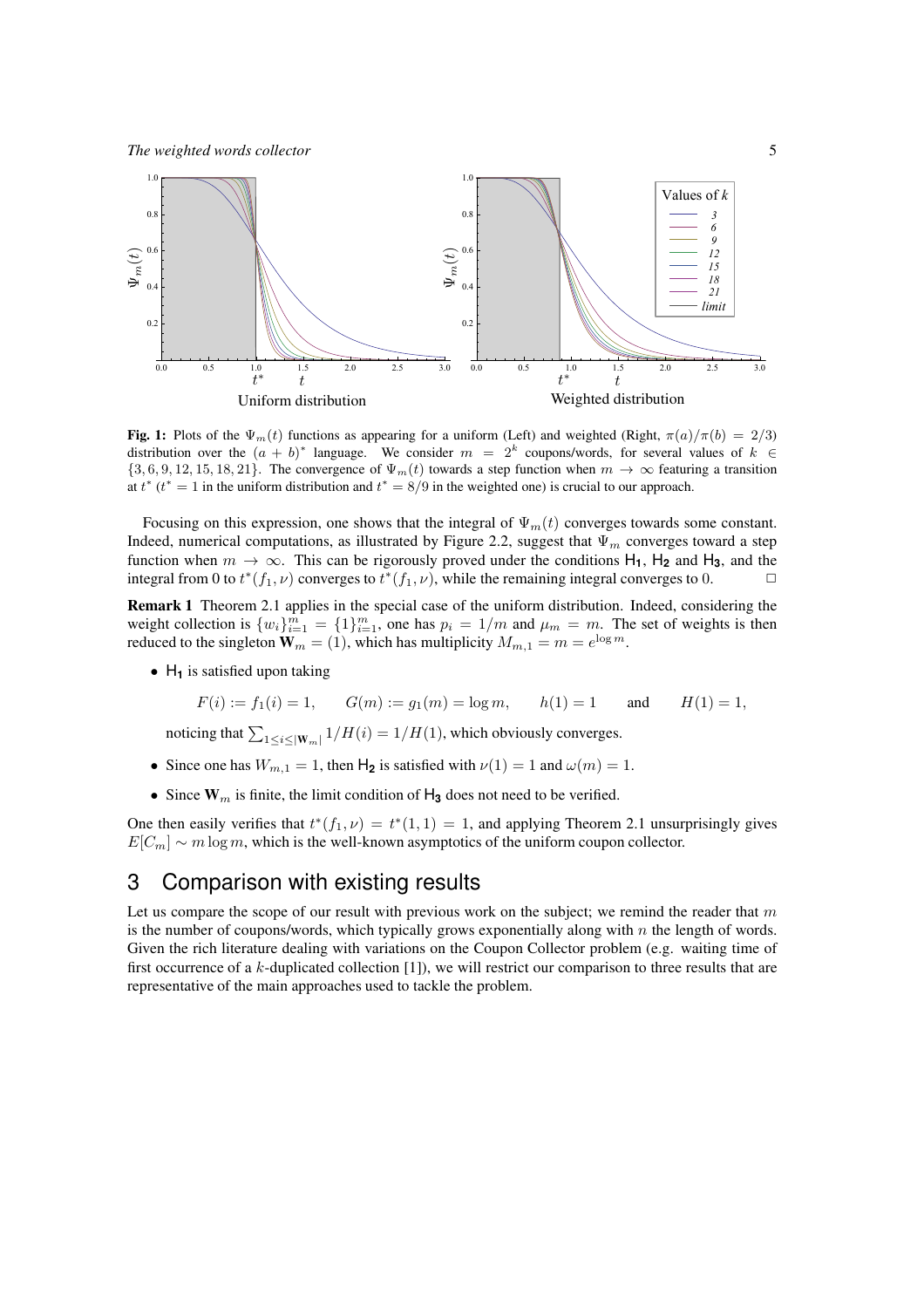

Fig. 1: Plots of the  $\Psi_m(t)$  functions as appearing for a uniform (Left) and weighted (Right,  $\pi(a)/\pi(b) = 2/3$ ) distribution over the  $(a + b)^*$  language. We consider  $m = 2^k$  coupons/words, for several values of  $k \in$  $\{3, 6, 9, 12, 15, 18, 21\}$ . The convergence of  $\Psi_m(t)$  towards a step function when  $m \to \infty$  featuring a transition at  $t^*$  ( $t^* = 1$  in the uniform distribution and  $t^* = 8/9$  in the weighted one) is crucial to our approach.

Focusing on this expression, one shows that the integral of  $\Psi_m(t)$  converges towards some constant. Indeed, numerical computations, as illustrated by Figure 2.2, suggest that  $\Psi_m$  converges toward a step function when  $m \to \infty$ . This can be rigorously proved under the conditions  $H_1$ ,  $H_2$  and  $H_3$ , and the integral from 0 to  $t^*(f_1, \nu)$  converges to  $t^*(f_1, \nu)$ , while the remaining integral converges to 0.

Remark 1 Theorem 2.1 applies in the special case of the uniform distribution. Indeed, considering the weight collection is  $\{w_i\}_{i=1}^m = \{1\}_{i=1}^m$ , one has  $p_i = 1/m$  and  $\mu_m = m$ . The set of weights is then reduced to the singleton  $W_m = (1)$ , which has multiplicity  $M_{m,1} = m = e^{\log m}$ .

• H<sub>1</sub> is satisfied upon taking

$$
F(i) := f_1(i) = 1,
$$
  $G(m) := g_1(m) = \log m,$   $h(1) = 1$  and  $H(1) = 1,$ 

noticing that  $\sum_{1 \leq i \leq |\mathbf{W}_m|} 1/H(i) = 1/H(1)$ , which obviously converges.

- Since one has  $W_{m,1} = 1$ , then  $H_2$  is satisfied with  $\nu(1) = 1$  and  $\omega(m) = 1$ .
- Since  $W_m$  is finite, the limit condition of  $H_3$  does not need to be verified.

One then easily verifies that  $t^*(f_1, \nu) = t^*(1, 1) = 1$ , and applying Theorem 2.1 unsurprisingly gives  $E[C_m] \sim m \log m$ , which is the well-known asymptotics of the uniform coupon collector.

## 3 Comparison with existing results

Let us compare the scope of our result with previous work on the subject; we remind the reader that  $m$ is the number of coupons/words, which typically grows exponentially along with  $n$  the length of words. Given the rich literature dealing with variations on the Coupon Collector problem (e.g. waiting time of first occurrence of a k-duplicated collection [1]), we will restrict our comparison to three results that are representative of the main approaches used to tackle the problem.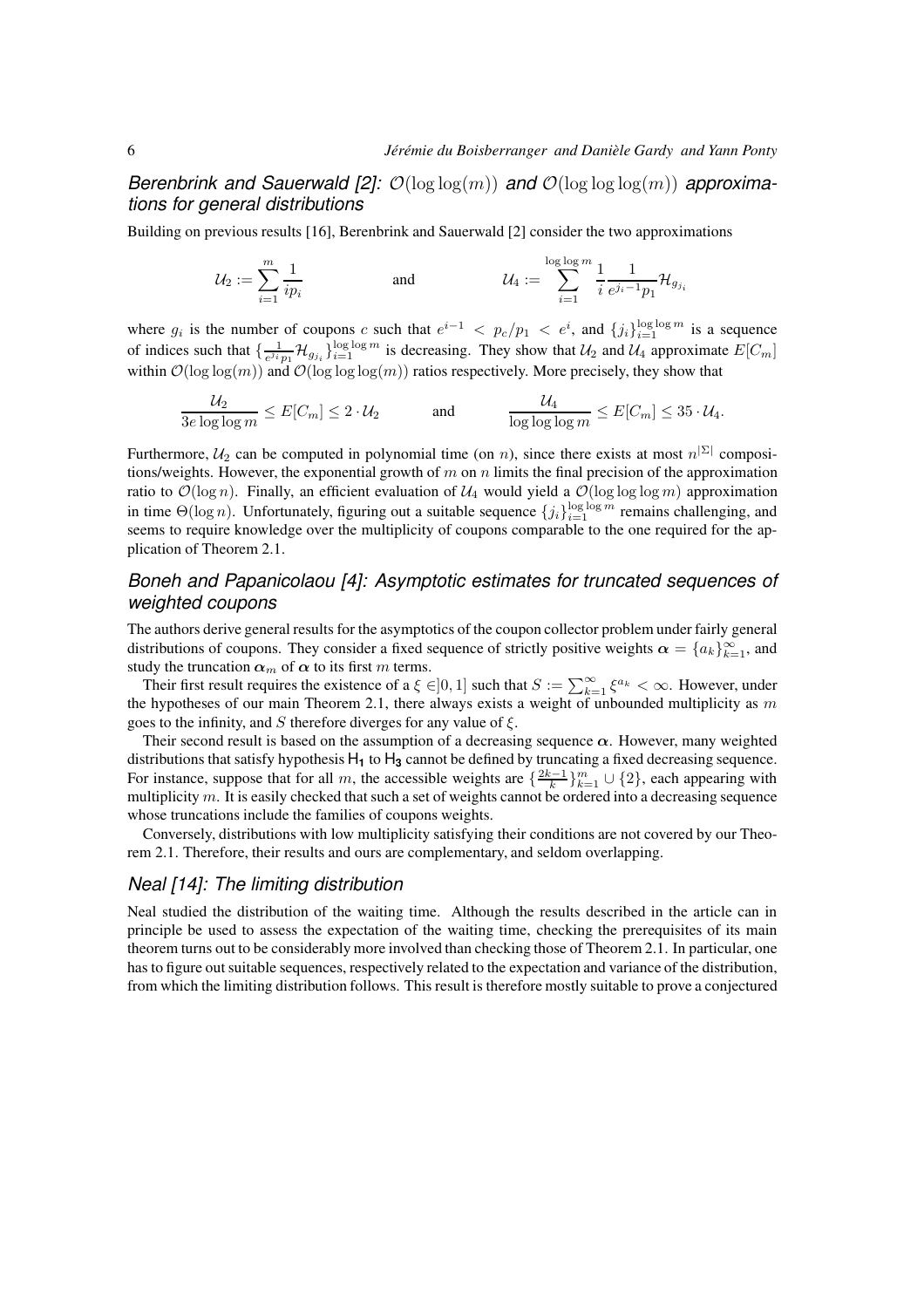*Berenbrink and Sauerwald [2]:*  $\mathcal{O}(\log \log(m))$  *and*  $\mathcal{O}(\log \log \log(m))$  *approximations for general distributions*

Building on previous results [16], Berenbrink and Sauerwald [2] consider the two approximations

$$
\mathcal{U}_2 := \sum_{i=1}^m \frac{1}{ip_i} \hspace{1cm}\text{and}\hspace{1cm}\mathcal{U}_4 := \sum_{i=1}^{\log\log m} \frac{1}{i} \frac{1}{e^{j_i-1}p_1} \mathcal{H}_{g_{j_i}}
$$

where  $g_i$  is the number of coupons c such that  $e^{i-1} < p_c/p_1 < e^i$ , and  $\{j_i\}_{i=1}^{\log \log m}$  is a sequence of indices such that  $\{\frac{1}{e^{j_i}p_1}\mathcal{H}_{g_{j_i}}\}_{i=1}^{\log \log m}$  is decreasing. They show that  $\mathcal{U}_2$  and  $\mathcal{U}_4$  approximate  $E[C_m]$ within  $\mathcal{O}(\log \log(m))$  and  $\mathcal{O}(\log \log \log(m))$  ratios respectively. More precisely, they show that

$$
\frac{\mathcal{U}_2}{3e \log \log m} \leq E[C_m] \leq 2 \cdot \mathcal{U}_2 \quad \text{and} \quad \frac{\mathcal{U}_4}{\log \log \log m} \leq E[C_m] \leq 35 \cdot \mathcal{U}_4.
$$

Furthermore,  $U_2$  can be computed in polynomial time (on *n*), since there exists at most  $n^{|\Sigma|}$  compositions/weights. However, the exponential growth of  $m$  on  $n$  limits the final precision of the approximation ratio to  $\mathcal{O}(\log n)$ . Finally, an efficient evaluation of  $\mathcal{U}_4$  would yield a  $\mathcal{O}(\log \log \log m)$  approximation in time  $\Theta(\log n)$ . Unfortunately, figuring out a suitable sequence  $\{j_i\}_{i=1}^{\log \log m}$  remains challenging, and seems to require knowledge over the multiplicity of coupons comparable to the one required for the application of Theorem 2.1.

## *Boneh and Papanicolaou [4]: Asymptotic estimates for truncated sequences of weighted coupons*

The authors derive general results for the asymptotics of the coupon collector problem under fairly general distributions of coupons. They consider a fixed sequence of strictly positive weights  $\alpha = \{a_k\}_{k=1}^{\infty}$ , and study the truncation  $\alpha_m$  of  $\alpha$  to its first m terms.

Their first result requires the existence of a  $\xi \in ]0,1]$  such that  $S := \sum_{k=1}^{\infty} \xi^{a_k} < \infty$ . However, under the hypotheses of our main Theorem 2.1, there always exists a weight of unbounded multiplicity as  $m$ goes to the infinity, and S therefore diverges for any value of  $\xi$ .

Their second result is based on the assumption of a decreasing sequence  $\alpha$ . However, many weighted distributions that satisfy hypothesis H<sub>1</sub> to H<sub>3</sub> cannot be defined by truncating a fixed decreasing sequence. For instance, suppose that for all m, the accessible weights are  $\{\frac{2k-1}{k}\}_{k=1}^m \cup \{2\}$ , each appearing with multiplicity  $m$ . It is easily checked that such a set of weights cannot be ordered into a decreasing sequence whose truncations include the families of coupons weights.

Conversely, distributions with low multiplicity satisfying their conditions are not covered by our Theorem 2.1. Therefore, their results and ours are complementary, and seldom overlapping.

### *Neal [14]: The limiting distribution*

Neal studied the distribution of the waiting time. Although the results described in the article can in principle be used to assess the expectation of the waiting time, checking the prerequisites of its main theorem turns out to be considerably more involved than checking those of Theorem 2.1. In particular, one has to figure out suitable sequences, respectively related to the expectation and variance of the distribution, from which the limiting distribution follows. This result is therefore mostly suitable to prove a conjectured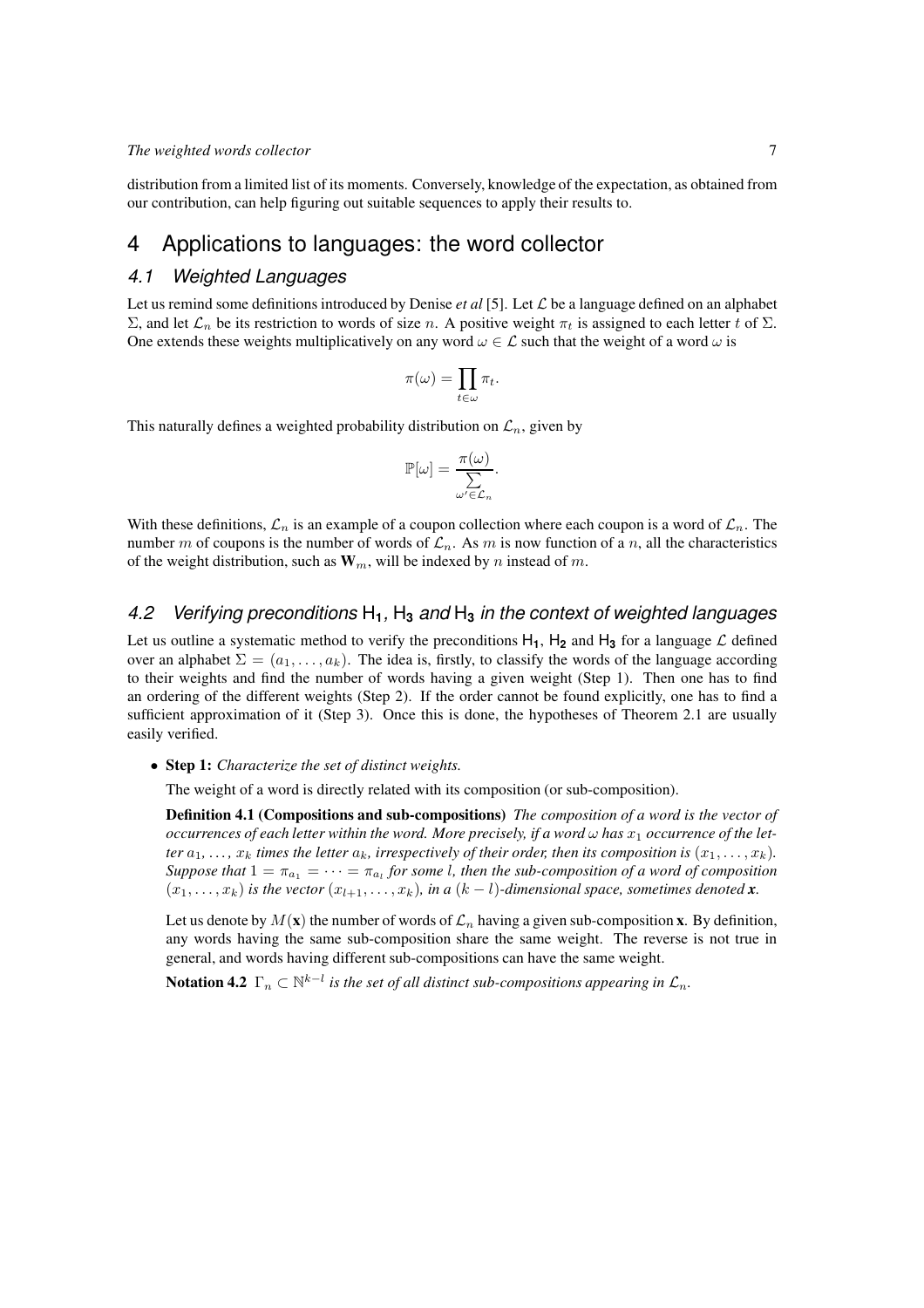distribution from a limited list of its moments. Conversely, knowledge of the expectation, as obtained from our contribution, can help figuring out suitable sequences to apply their results to.

## 4 Applications to languages: the word collector

#### *4.1 Weighted Languages*

Let us remind some definitions introduced by Denise *et al* [5]. Let  $\mathcal L$  be a language defined on an alphabet Σ, and let  $\mathcal{L}_n$  be its restriction to words of size n. A positive weight  $\pi_t$  is assigned to each letter t of Σ. One extends these weights multiplicatively on any word  $\omega \in \mathcal{L}$  such that the weight of a word  $\omega$  is

$$
\pi(\omega) = \prod_{t \in \omega} \pi_t.
$$

This naturally defines a weighted probability distribution on  $\mathcal{L}_n$ , given by

$$
\mathbb{P}[\omega] = \frac{\pi(\omega)}{\sum_{\omega' \in \mathcal{L}_n} \Delta}.
$$

With these definitions,  $\mathcal{L}_n$  is an example of a coupon collection where each coupon is a word of  $\mathcal{L}_n$ . The number m of coupons is the number of words of  $\mathcal{L}_n$ . As m is now function of a n, all the characteristics of the weight distribution, such as  $W_m$ , will be indexed by n instead of m.

### *4.2 Verifying preconditions* H**1***,* H**<sup>3</sup>** *and* H**<sup>3</sup>** *in the context of weighted languages*

Let us outline a systematic method to verify the preconditions  $H_1$ ,  $H_2$  and  $H_3$  for a language  $\mathcal L$  defined over an alphabet  $\Sigma = (a_1, \ldots, a_k)$ . The idea is, firstly, to classify the words of the language according to their weights and find the number of words having a given weight (Step 1). Then one has to find an ordering of the different weights (Step 2). If the order cannot be found explicitly, one has to find a sufficient approximation of it (Step 3). Once this is done, the hypotheses of Theorem 2.1 are usually easily verified.

• Step 1: *Characterize the set of distinct weights.*

The weight of a word is directly related with its composition (or sub-composition).

Definition 4.1 (Compositions and sub-compositions) *The composition of a word is the vector of occurrences of each letter within the word. More precisely, if a word*  $\omega$  *has*  $x_1$  *occurrence of the letter*  $a_1, \ldots, x_k$  *times the letter*  $a_k$ *, irrespectively of their order, then its composition is*  $(x_1, \ldots, x_k)$ *. Suppose that*  $1 = \pi_{a_1} = \cdots = \pi_{a_l}$  *for some l, then the sub-composition of a word of composition*  $(x_1, \ldots, x_k)$  *is the vector*  $(x_{l+1}, \ldots, x_k)$ *, in a*  $(k-l)$ *-dimensional space, sometimes denoted x*.

Let us denote by  $M(\mathbf{x})$  the number of words of  $\mathcal{L}_n$  having a given sub-composition x. By definition, any words having the same sub-composition share the same weight. The reverse is not true in general, and words having different sub-compositions can have the same weight.

**Notation 4.2**  $\Gamma_n \subset \mathbb{N}^{k-l}$  is the set of all distinct sub-compositions appearing in  $\mathcal{L}_n$ .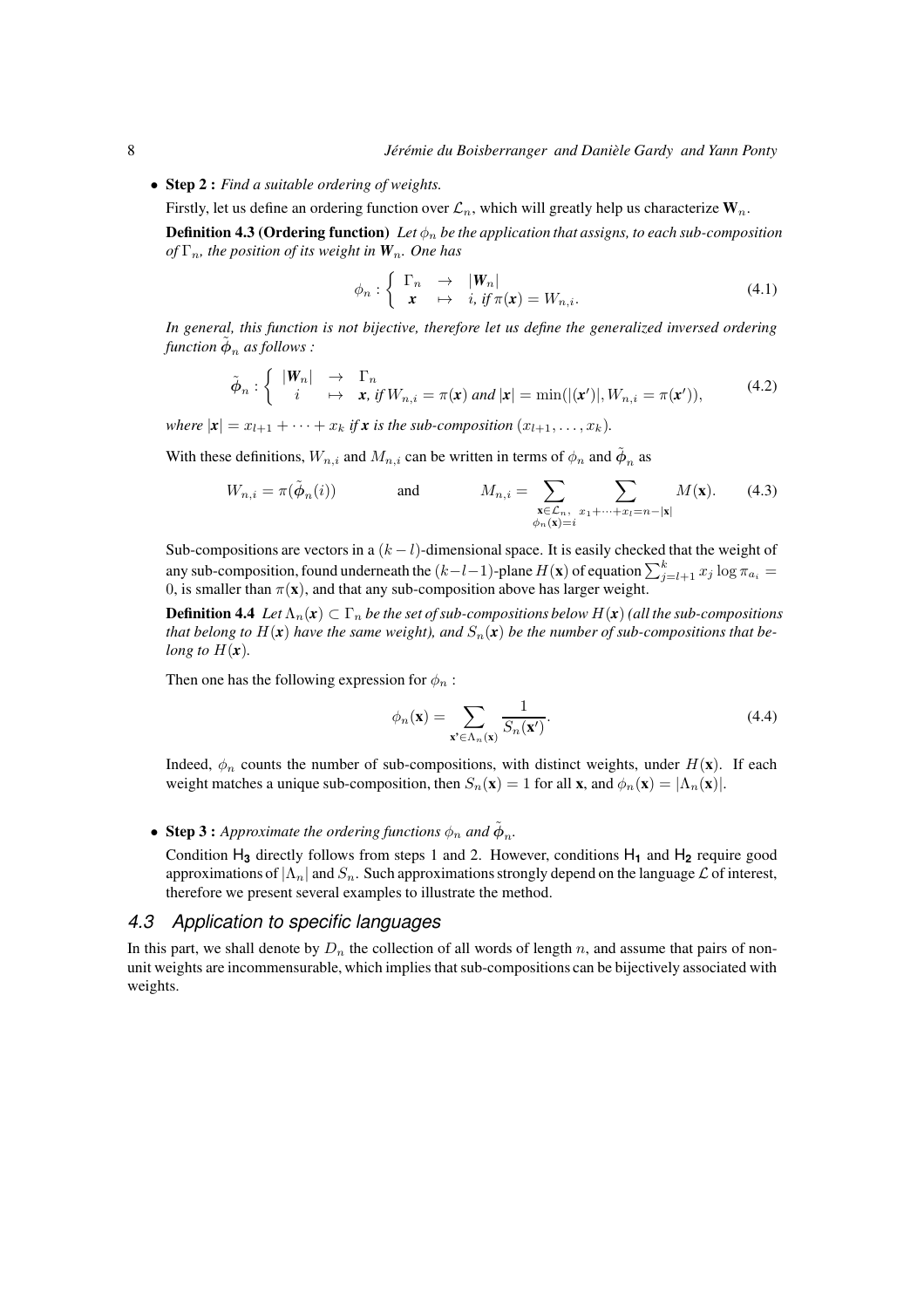• Step 2 : *Find a suitable ordering of weights.*

Firstly, let us define an ordering function over  $\mathcal{L}_n$ , which will greatly help us characterize  $\mathbf{W}_n$ .

**Definition 4.3 (Ordering function)** Let  $\phi_n$  be the application that assigns, to each sub-composition *of*  $\Gamma_n$ *, the position of its weight in*  $W_n$ *. One has* 

$$
\phi_n : \left\{ \begin{array}{ccc} \Gamma_n & \to & |W_n| \\ x & \mapsto & i, \text{ if } \pi(x) = W_{n,i}. \end{array} \right. \tag{4.1}
$$

*In general, this function is not bijective, therefore let us define the generalized inversed ordering* function  $\tilde{\bm{\phi}}_n$  as follows :

$$
\tilde{\phi}_n : \left\{ \begin{array}{rcl} |\mathbf{W}_n| & \to & \Gamma_n \\ i & \mapsto & \mathbf{x}, \text{ if } W_{n,i} = \pi(\mathbf{x}) \text{ and } |\mathbf{x}| = \min(|(\mathbf{x}')|, W_{n,i} = \pi(\mathbf{x}')) \end{array} \right. \tag{4.2}
$$

*where*  $|\mathbf{x}| = x_{l+1} + \cdots + x_k$  *if* **x** *is the sub-composition*  $(x_{l+1}, \ldots, x_k)$ *.* 

With these definitions,  $W_{n,i}$  and  $M_{n,i}$  can be written in terms of  $\phi_n$  and  $\tilde{\phi}_n$  as

$$
W_{n,i} = \pi(\tilde{\phi}_n(i)) \qquad \text{and} \qquad M_{n,i} = \sum_{\substack{\mathbf{x} \in \mathcal{L}_n, \\ \phi_n(\mathbf{x}) = i}} \sum_{x_1 + \dots + x_l = n - |\mathbf{x}|} M(\mathbf{x}). \tag{4.3}
$$

Sub-compositions are vectors in a  $(k - l)$ -dimensional space. It is easily checked that the weight of any sub-composition, found underneath the  $(k-l-1)$ -plane  $H(\mathbf{x})$  of equation  $\sum_{j=l+1}^{k} x_j \log \pi_{a_i} =$ 0, is smaller than  $\pi(\mathbf{x})$ , and that any sub-composition above has larger weight.

**Definition 4.4** *Let*  $\Lambda_n(x) \subset \Gamma_n$  *be the set of sub-compositions below*  $H(x)$  (all the sub-compositions *that belong to*  $H(x)$  *have the same weight), and*  $S_n(x)$  *be the number of sub-compositions that belong to*  $H(x)$ *.* 

Then one has the following expression for  $\phi_n$ :

$$
\phi_n(\mathbf{x}) = \sum_{\mathbf{x}' \in \Lambda_n(\mathbf{x})} \frac{1}{S_n(\mathbf{x}')}.
$$
\n(4.4)

Indeed,  $\phi_n$  counts the number of sub-compositions, with distinct weights, under  $H(\mathbf{x})$ . If each weight matches a unique sub-composition, then  $S_n(\mathbf{x}) = 1$  for all **x**, and  $\phi_n(\mathbf{x}) = |\Lambda_n(\mathbf{x})|$ .

# • Step 3 : *Approximate the ordering functions*  $\phi_n$  *and*  $\tilde{\phi}_n$ *.*

Condition H**<sup>3</sup>** directly follows from steps 1 and 2. However, conditions H**<sup>1</sup>** and H**<sup>2</sup>** require good approximations of  $|\Lambda_n|$  and  $S_n$ . Such approximations strongly depend on the language  $\mathcal L$  of interest, therefore we present several examples to illustrate the method.

#### *4.3 Application to specific languages*

In this part, we shall denote by  $D_n$  the collection of all words of length n, and assume that pairs of nonunit weights are incommensurable, which implies that sub-compositions can be bijectively associated with weights.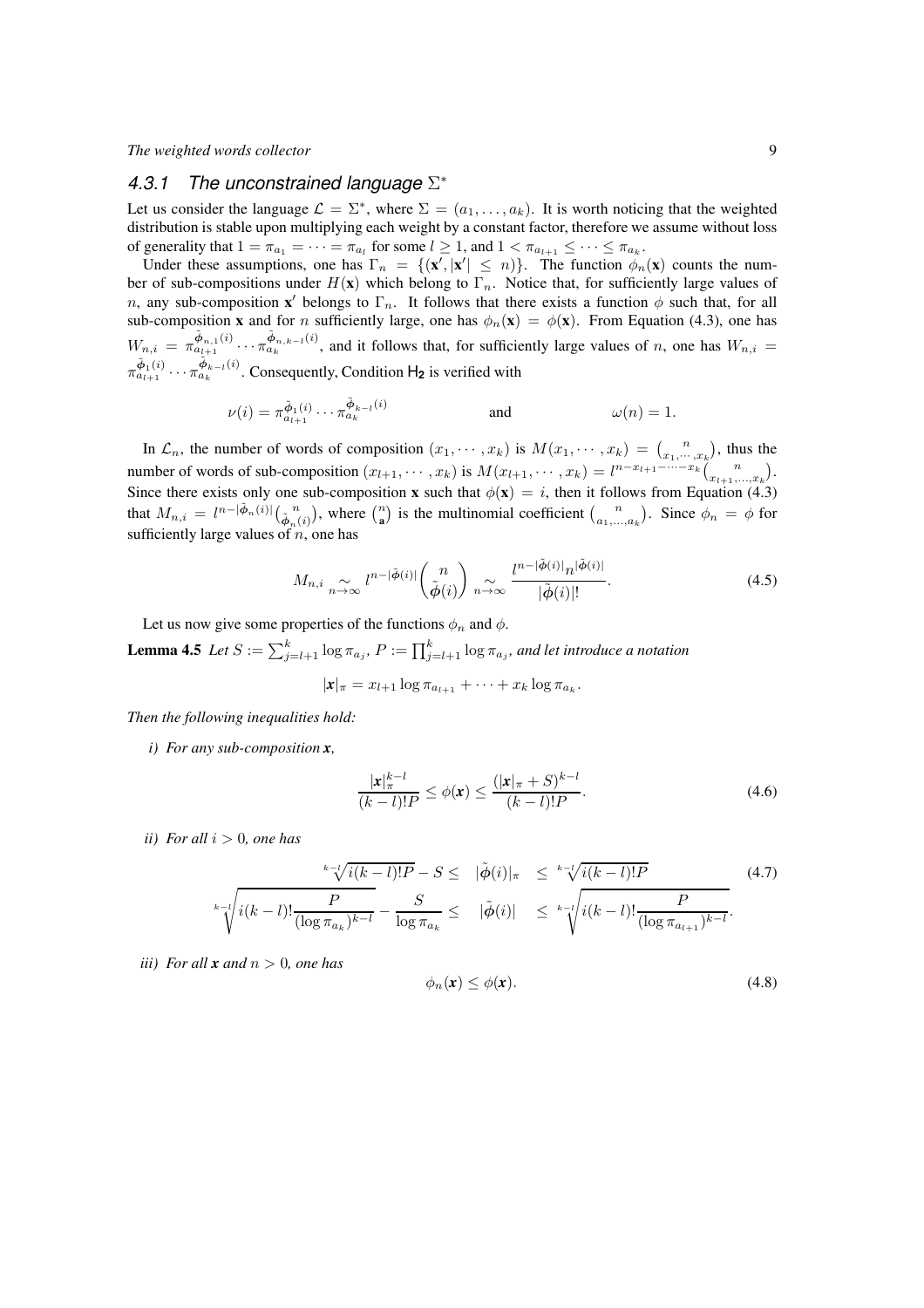## *4.3.1 The unconstrained language* Σ ∗

Let us consider the language  $\mathcal{L} = \Sigma^*$ , where  $\Sigma = (a_1, \dots, a_k)$ . It is worth noticing that the weighted distribution is stable upon multiplying each weight by a constant factor, therefore we assume without loss of generality that  $1 = \pi_{a_1} = \cdots = \pi_{a_l}$  for some  $l \geq 1$ , and  $1 < \pi_{a_{l+1}} \leq \cdots \leq \pi_{a_k}$ .

Under these assumptions, one has  $\Gamma_n = \{(\mathbf{x}', |\mathbf{x}'| \leq n)\}\.$  The function  $\phi_n(\mathbf{x})$  counts the number of sub-compositions under  $H(\mathbf{x})$  which belong to  $\Gamma_n$ . Notice that, for sufficiently large values of *n*, any sub-composition **x**' belongs to  $\Gamma_n$ . It follows that there exists a function  $\phi$  such that, for all sub-composition x and for n sufficiently large, one has  $\phi_n(x) = \phi(x)$ . From Equation (4.3), one has  $W_{n,i} = \pi \frac{\tilde{\phi}_{n,1}(i)}{a_{l+1}} \cdots \pi \frac{\tilde{\phi}_{n,k-l}(i)}{a_k}$ , and it follows that, for sufficiently large values of n, one has  $W_{n,i} =$  $\pi^{\tilde{\phi}_1(i)}_{a_{l+1}} \cdots \pi^{\tilde{\phi}_{k-l}(i)}_{a_k}$ . Consequently, Condition  $H_2$  is verified with

$$
\nu(i) = \pi_{a_{l+1}}^{\tilde{\Phi}_1(i)} \cdots \pi_{a_k}^{\tilde{\Phi}_{k-l}(i)} \quad \text{and} \quad \omega(n) = 1.
$$

In  $\mathcal{L}_n$ , the number of words of composition  $(x_1, \dots, x_k)$  is  $M(x_1, \dots, x_k) = {n \choose x_1, \dots, x_k}$ , thus the number of words of sub-composition  $(x_{l+1}, \dots, x_k)$  is  $M(x_{l+1}, \dots, x_k) = l^{n-x_{l+1} - \dots - x_k} {n \choose x_{l+1}, \dots, x_k}$ . Since there exists only one sub-composition x such that  $\phi(\mathbf{x}) = i$ , then it follows from Equation (4.3) that  $M_{n,i} = l^{n-|\tilde{\phi}_n(i)|} \left( \frac{n}{\tilde{\phi}_n(i)} \right)$ , where  $\binom{n}{a}$  is the multinomial coefficient  $\binom{n}{a_1,\dots,a_k}$ . Since  $\phi_n = \phi$  for sufficiently large values of  $n$ , one has

$$
M_{n,i} \underset{n \to \infty}{\sim} l^{n-|\tilde{\phi}(i)|} \binom{n}{\tilde{\phi}(i)} \underset{n \to \infty}{\sim} \frac{l^{n-|\tilde{\phi}(i)|} n^{|\tilde{\phi}(i)|}}{|\tilde{\phi}(i)|!}.
$$
\n(4.5)

Let us now give some properties of the functions  $\phi_n$  and  $\phi$ .

**Lemma 4.5** Let  $S := \sum_{j=l+1}^{k} \log \pi_{a_j}$ ,  $P := \prod_{j=l+1}^{k} \log \pi_{a_j}$ , and let introduce a notation

$$
|x|_{\pi} = x_{l+1} \log \pi_{a_{l+1}} + \cdots + x_k \log \pi_{a_k}.
$$

*Then the following inequalities hold:*

*i) For any sub-composition x,*

$$
\frac{|\mathbf{x}|_{\pi}^{k-l}}{(k-l)!P} \le \phi(\mathbf{x}) \le \frac{(|\mathbf{x}|_{\pi}+S)^{k-l}}{(k-l)!P}.
$$
\n(4.6)

*ii*) For all  $i > 0$ , one has

$$
\frac{\sqrt[k-1]{i(k-l)!P} - S \leq |\tilde{\phi}(i)|_{\pi}}{\sqrt[k-1]{i(k-l)!P}} \quad (4.7)
$$
\n
$$
\sqrt[k-1]{\sqrt[k-1]{i(k-l)!P} - \frac{S}{\log \pi_{a_k}} \leq |\tilde{\phi}(i)|} \leq \sqrt[k-1]{\sqrt[i(k-l)!P] - \frac{P}{(\log \pi_{a_{l+1}})^{k-l}}}.
$$

*iii*) For all **x** and  $n > 0$ , one has

$$
\phi_n(\mathbf{x}) \le \phi(\mathbf{x}).\tag{4.8}
$$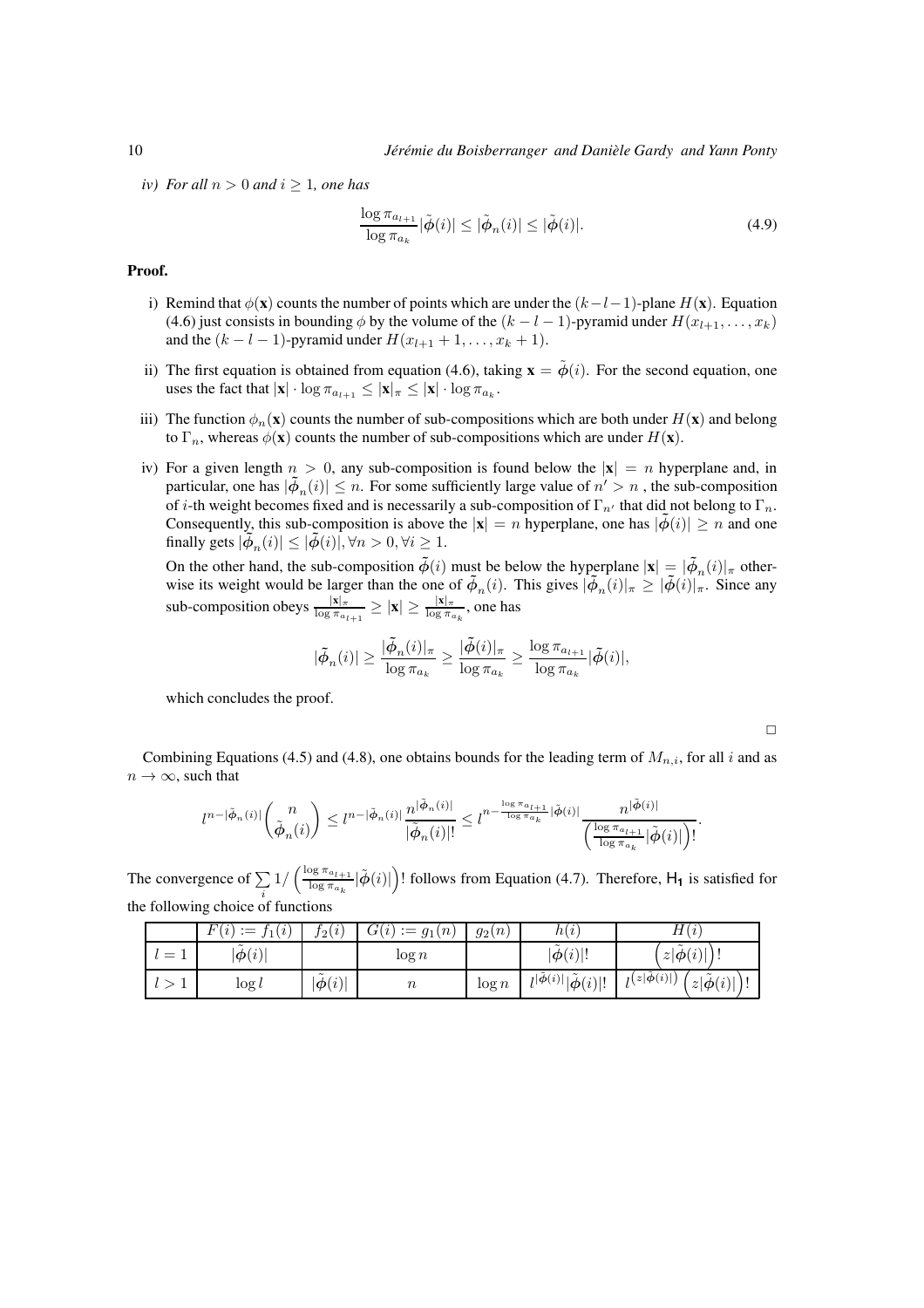*iv*) For all  $n > 0$  and  $i \geq 1$ , one has

$$
\frac{\log \pi_{a_{l+1}}}{\log \pi_{a_k}} |\tilde{\phi}(i)| \le |\tilde{\phi}_n(i)| \le |\tilde{\phi}(i)|. \tag{4.9}
$$

#### Proof.

- i) Remind that  $\phi$ (**x**) counts the number of points which are under the  $(k-l-1)$ -plane H(**x**). Equation (4.6) just consists in bounding  $\phi$  by the volume of the  $(k - l - 1)$ -pyramid under  $H(x_{l+1}, \ldots, x_k)$ and the  $(k - l - 1)$ -pyramid under  $H(x_{l+1} + 1, \ldots, x_k + 1)$ .
- ii) The first equation is obtained from equation (4.6), taking  $\mathbf{x} = \tilde{\phi}(i)$ . For the second equation, one uses the fact that  $|\mathbf{x}| \cdot \log \pi_{a_{l+1}} \le |\mathbf{x}| \pi \le |\mathbf{x}| \cdot \log \pi_{a_k}$ .
- iii) The function  $\phi_n(\mathbf{x})$  counts the number of sub-compositions which are both under  $H(\mathbf{x})$  and belong to  $\Gamma_n$ , whereas  $\phi(\mathbf{x})$  counts the number of sub-compositions which are under  $H(\mathbf{x})$ .
- iv) For a given length  $n > 0$ , any sub-composition is found below the  $|x| = n$  hyperplane and, in particular, one has  $|\phi_n(i)| \leq n$ . For some sufficiently large value of  $n' > n$ , the sub-composition of i-th weight becomes fixed and is necessarily a sub-composition of  $\Gamma_{n'}$  that did not belong to  $\Gamma_n$ . Consequently, this sub-composition is above the  $|x| = n$  hyperplane, one has  $|\phi(i)| \ge n$  and one finally gets  $|\phi_n(i)| \leq |\tilde{\phi}(i)|, \forall n > 0, \forall i \geq 1$ .

On the other hand, the sub-composition  $\tilde{\phi}(i)$  must be below the hyperplane  $|\mathbf{x}| = |\tilde{\phi}_n(i)|_\pi$  otherwise its weight would be larger than the one of  $\tilde{\phi}_n(i)$ . This gives  $|\tilde{\phi}_n(i)|_{\pi} \geq |\tilde{\phi}(i)|_{\pi}$ . Since any sub-composition obeys  $\frac{|x|_{\pi}}{\log \pi_{a_{l+1}}} \ge |x| \ge \frac{|x|_{\pi}}{\log \pi_{a_k}}$ , one has

$$
|\tilde{\phi}_n(i)| \geq \frac{|\tilde{\phi}_n(i)|_{\pi}}{\log \pi_{a_k}} \geq \frac{|\tilde{\phi}(i)|_{\pi}}{\log \pi_{a_k}} \geq \frac{\log \pi_{a_{l+1}}}{\log \pi_{a_k}} |\tilde{\phi}(i)|,
$$

which concludes the proof.

 $\Box$ 

Combining Equations (4.5) and (4.8), one obtains bounds for the leading term of  $M_{n,i}$ , for all i and as  $n \to \infty$ , such that

$$
l^{n-|\tilde{\varphi}_n(i)|}\binom{n}{\tilde{\varphi}_n(i)}\leq l^{n-|\tilde{\varphi}_n(i)|}\frac{n^{|\tilde{\varphi}_n(i)|}}{|\tilde{\varphi}_n(i)|!}\leq l^{n-\frac{\log\pi_{a_{l+1}}}{\log\pi_{a_k}}}|\tilde{\varphi}(i)|}\frac{n^{|\tilde{\varphi}(i)|}}{\binom{\log\pi_{a_{l+1}}}{\log\pi_{a_k}}|\tilde{\varphi}(i)|)!}.
$$

The convergence of  $\Sigma$ i  $1/\left(\frac{\log \pi_{a_{l+1}}}{\log \pi}\right)$  $\frac{\log \pi_{a_{l+1}}}{\log \pi_{a_k}} |\tilde{\phi}(i)|$  follows from Equation (4.7). Therefore, H<sub>1</sub> is satisfied for the following choice of functions

| F(<br>(i)<br>$\mathcal{I}(i)$<br>$\cdot$ $-$ | $f_2(i)$                                    | G(i)<br>(n)<br>$\dot{g} = g_1$ . | $g_2(n)$ | h(i)                                                                 | H(i)                                                                                                    |
|----------------------------------------------|---------------------------------------------|----------------------------------|----------|----------------------------------------------------------------------|---------------------------------------------------------------------------------------------------------|
| $\tilde{\phantom{a}}$<br>$ \phi(i) $         |                                             | $\log n$                         |          | $\tilde{}$<br>$ \phi(i) !$                                           | $\tilde{\phantom{a}}$<br>$\lambda$<br>$z \phi(i) $                                                      |
| $\log l$                                     | $\tilde{\phantom{a}}$<br>$ \ddot{\phi}(i) $ | $\it n$                          | $\log n$ | $l^{ \tilde{\boldsymbol{\phi}}(i) }  \tilde{\boldsymbol{\phi}}(i) !$ | $\mathbf{1}[z \dot{\boldsymbol{\phi}}(i)]$<br>$\tilde{\phantom{a}}$<br>$z \tilde{\boldsymbol{\phi}}(i)$ |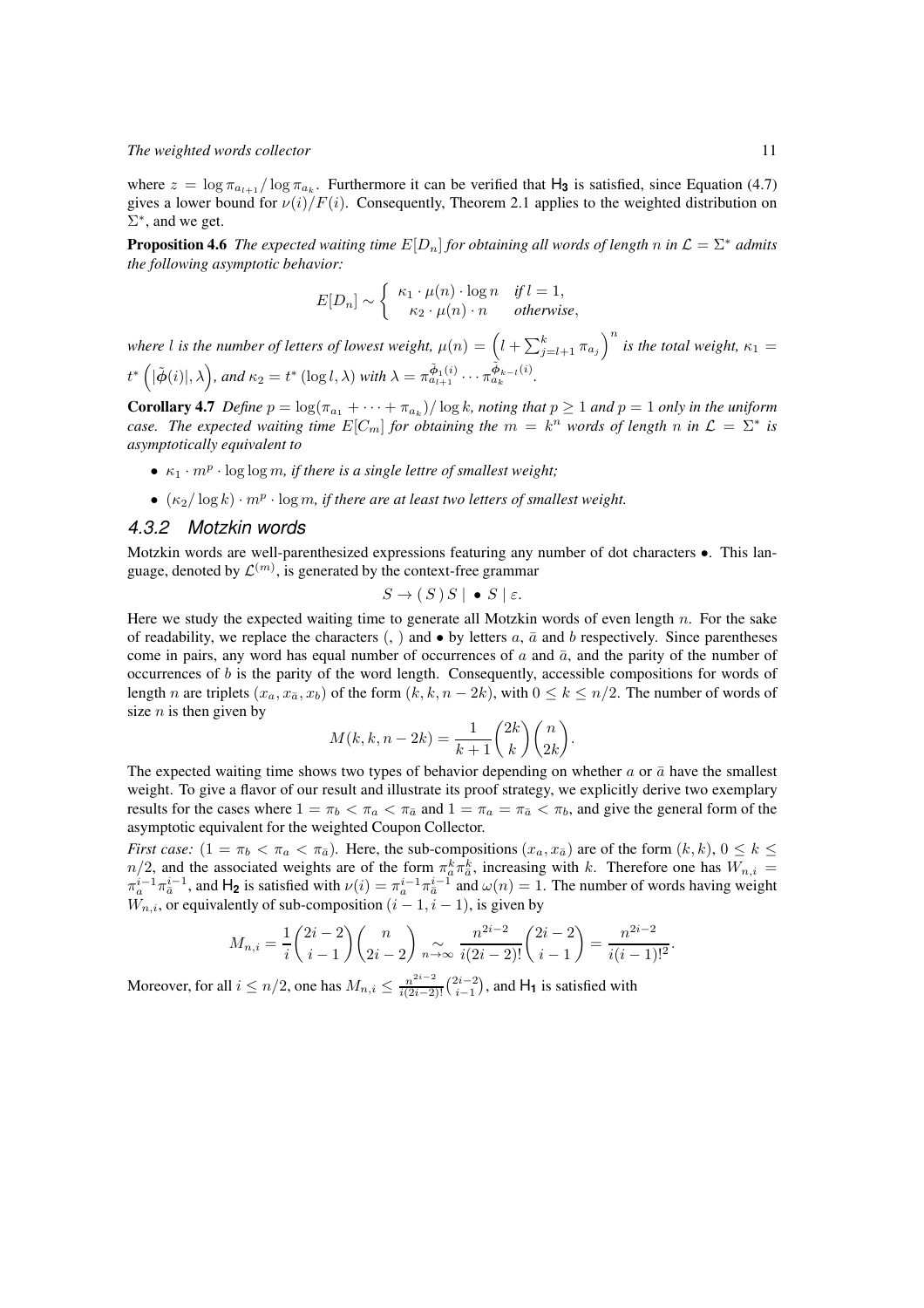where  $z = \log \pi_{a_{l+1}} / \log \pi_{a_k}$ . Furthermore it can be verified that  $H_3$  is satisfied, since Equation (4.7) gives a lower bound for  $\nu(i)/F(i)$ . Consequently, Theorem 2.1 applies to the weighted distribution on  $\Sigma^*$ , and we get.

**Proposition 4.6** *The expected waiting time*  $E[D_n]$  *for obtaining all words of length n in*  $\mathcal{L} = \Sigma^*$  *admits the following asymptotic behavior:*

$$
E[D_n] \sim \begin{cases} \kappa_1 \cdot \mu(n) \cdot \log n & \text{if } l = 1, \\ \kappa_2 \cdot \mu(n) \cdot n & \text{otherwise,} \end{cases}
$$

*where l* is the number of letters of lowest weight,  $\mu(n) = \left( l + \sum_{j=l+1}^{k} \pi_{a_j} \right)^n$  is the total weight,  $\kappa_1 =$  $t^* \left( |\tilde{\phi}(i)|, \lambda \right)$ , and  $\kappa_2 = t^* \left( \log l, \lambda \right)$  with  $\lambda = \pi^{\tilde{\phi}_1(i)}_{a_{l+1}} \cdots \pi^{\tilde{\phi}_{k-l}(i)}_{a_k}$ .

**Corollary 4.7** *Define*  $p = \log(\pi_{a_1} + \cdots + \pi_{a_k})/\log k$ , noting that  $p \ge 1$  and  $p = 1$  only in the uniform *case. The expected waiting time*  $E[C_m]$  *for obtaining the*  $m = k^n$  *words of length*  $n$  *in*  $\mathcal{L} = \Sigma^*$  *is asymptotically equivalent to*

- $\kappa_1 \cdot m^p \cdot \log \log m$ , if there is a single lettre of smallest weight;
- $\bullet$   $(\kappa_2/\log k) \cdot m^p \cdot \log m$ , if there are at least two letters of smallest weight.

### *4.3.2 Motzkin words*

Motzkin words are well-parenthesized expressions featuring any number of dot characters •. This language, denoted by  $\mathcal{L}^{(m)}$ , is generated by the context-free grammar

$$
S \to (S) S \mid \bullet S \mid \varepsilon.
$$

Here we study the expected waiting time to generate all Motzkin words of even length  $n$ . For the sake of readability, we replace the characters (, ) and  $\bullet$  by letters a,  $\bar{a}$  and b respectively. Since parentheses come in pairs, any word has equal number of occurrences of a and  $\bar{a}$ , and the parity of the number of occurrences of  $b$  is the parity of the word length. Consequently, accessible compositions for words of length n are triplets  $(x_a, x_{\bar{a}}, x_b)$  of the form  $(k, k, n - 2k)$ , with  $0 \le k \le n/2$ . The number of words of size  $n$  is then given by

$$
M(k, k, n-2k) = \frac{1}{k+1} {2k \choose k} {n \choose 2k}.
$$

The expected waiting time shows two types of behavior depending on whether  $a$  or  $\bar{a}$  have the smallest weight. To give a flavor of our result and illustrate its proof strategy, we explicitly derive two exemplary results for the cases where  $1 = \pi_b < \pi_a < \pi_{\bar{a}}$  and  $1 = \pi_a = \pi_{\bar{a}} < \pi_b$ , and give the general form of the asymptotic equivalent for the weighted Coupon Collector.

*First case:*  $(1 = \pi_b < \pi_a < \pi_{\bar{a}})$ . Here, the sub-compositions  $(x_a, x_{\bar{a}})$  are of the form  $(k, k)$ ,  $0 \le k \le$  $n/2$ , and the associated weights are of the form  $\pi_a^k \pi_{\overline{a}}^k$ , increasing with k. Therefore one has  $W_{n,i} =$  $\pi_a^{i-1}\pi_{\overline{a}}^{i-1}$ , and  $H_2$  is satisfied with  $\nu(i) = \pi_a^{i-1}\pi_{\overline{a}}^{i-1}$  and  $\omega(n) = 1$ . The number of words having weight  $W_{n,i}$ , or equivalently of sub-composition  $(i - 1, i - 1)$ , is given by

$$
M_{n,i} = \frac{1}{i} \binom{2i-2}{i-1} \binom{n}{2i-2} \underset{n \to \infty}{\sim} \frac{n^{2i-2}}{i(2i-2)!} \binom{2i-2}{i-1} = \frac{n^{2i-2}}{i(i-1)!^2}.
$$

Moreover, for all  $i \leq n/2$ , one has  $M_{n,i} \leq \frac{n^{2i-2}}{i(2i-2)!} {2i-2 \choose i-1}$ , and  $H_1$  is satisfied with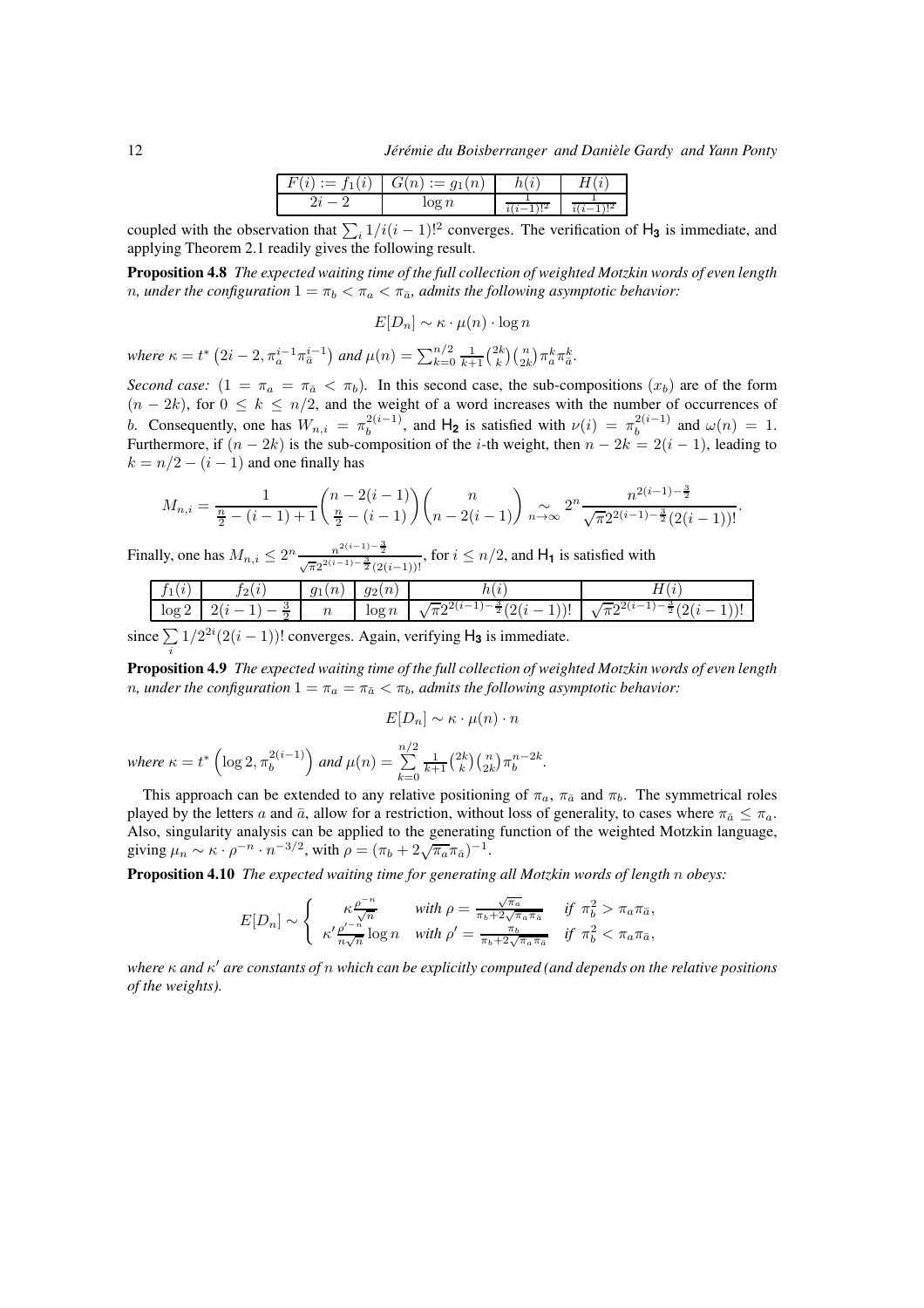| $\lambda$<br>v | $\sim$<br>◡ | '' |  |  |
|----------------|-------------|----|--|--|
|                |             |    |  |  |

coupled with the observation that  $\sum_i 1/i(i-1)!^2$  converges. The verification of  $H_3$  is immediate, and applying Theorem 2.1 readily gives the following result.

Proposition 4.8 *The expected waiting time of the full collection of weighted Motzkin words of even length n*, under the configuration  $1 = \pi_b < \pi_a < \pi_{\bar{a}}$ , admits the following asymptotic behavior:

$$
E[D_n] \sim \kappa \cdot \mu(n) \cdot \log n
$$

*where*  $\kappa = t^* \left( 2i - 2, \pi_a^{i-1} \pi_{\bar{a}}^{i-1} \right)$  and  $\mu(n) = \sum_{k=0}^{n/2} \frac{1}{k+1} {2k \choose k} {n \choose 2k} \pi_a^k \pi_{\bar{a}}^k$ .

*Second case:*  $(1 = \pi_a = \pi_{\bar{a}} < \pi_b)$ . In this second case, the sub-compositions  $(x_b)$  are of the form  $(n - 2k)$ , for  $0 \le k \le n/2$ , and the weight of a word increases with the number of occurrences of b. Consequently, one has  $W_{n,i} = \pi_b^{2(i-1)}$ , and  $H_2$  is satisfied with  $\nu(i) = \pi_b^{2(i-1)}$  and  $\omega(n) = 1$ . Furthermore, if  $(n - 2k)$  is the sub-composition of the *i*-th weight, then  $n - 2k = 2(i - 1)$ , leading to  $k = n/2 - (i - 1)$  and one finally has

$$
M_{n,i} = \frac{1}{\frac{n}{2} - (i-1) + 1} {n-2(i-1) \choose \frac{n}{2} - (i-1)} {n \choose n-2(i-1)} \sum_{n \to \infty} 2^n \frac{n^{2(i-1) - \frac{3}{2}}}{\sqrt{\pi} 2^{2(i-1) - \frac{3}{2}} (2(i-1))!}.
$$

Finally, one has  $M_{n,i} \leq 2^n \frac{n^{2(i-1)-\frac{3}{2}}}{\sqrt{\pi}2^{2(i-1)-\frac{3}{2}}(2(i-1))!}$ , for  $i \leq n/2$ , and  $H_1$  is satisfied with

|     | <b>Security</b><br>- | . m<br>$q_1$<br>11                 | . on<br>-<br>ت ر.      |                                                       | 11                                         |
|-----|----------------------|------------------------------------|------------------------|-------------------------------------------------------|--------------------------------------------|
| log | $\Omega$<br>-        | $\sim$<br>$\overline{\phantom{a}}$ | $\alpha$ m<br>$\log u$ | $\overline{\phantom{a}}$<br>-<br>. .<br>.<br><b>.</b> | $\overline{\phantom{a}}$<br>-4<br><b>1</b> |

since  $\sum$  $1/2^{2i}(2(i-1))!$  converges. Again, verifying  $H_3$  is immediate.

Proposition 4.9 *The expected waiting time of the full collection of weighted Motzkin words of even length n*, under the configuration  $1 = \pi_a = \pi_{\bar{a}} < \pi_b$ , admits the following asymptotic behavior:

$$
E[D_n] \sim \kappa \cdot \mu(n) \cdot n
$$

*.*

where 
$$
\kappa = t^* \left( \log 2, \pi_b^{2(i-1)} \right)
$$
 and  $\mu(n) = \sum_{k=0}^{n/2} \frac{1}{k+1} {2k \choose k} {n \choose 2k} \pi_b^{n-2k}$ 

This approach can be extended to any relative positioning of  $\pi_a$ ,  $\pi_{\bar{a}}$  and  $\pi_b$ . The symmetrical roles played by the letters a and  $\bar{a}$ , allow for a restriction, without loss of generality, to cases where  $\pi_{\bar{a}} \leq \pi_a$ . Also, singularity analysis can be applied to the generating function of the weighted Motzkin language, giving  $\mu_n \sim \kappa \cdot \rho^{-n} \cdot n^{-3/2}$ , with  $\rho = (\pi_b + 2\sqrt{\pi_a \pi_{\bar{a}}})^{-1}$ .

Proposition 4.10 *The expected waiting time for generating all Motzkin words of length* n *obeys:*

$$
E[D_n] \sim \begin{cases} \kappa \frac{\rho^{-n}}{\sqrt{n}} & \text{with } \rho = \frac{\sqrt{\pi_a}}{\pi_b + 2\sqrt{\pi_a \pi_a}} & \text{if } \pi_b^2 > \pi_a \pi_{\bar{a}},\\ \kappa' \frac{\rho'^{-n}}{n\sqrt{n}} \log n & \text{with } \rho' = \frac{\pi_b}{\pi_b + 2\sqrt{\pi_a \pi_a}} & \text{if } \pi_b^2 < \pi_a \pi_{\bar{a}}, \end{cases}
$$

*where* κ *and* κ ′ *are constants of* n *which can be explicitly computed (and depends on the relative positions of the weights).*

i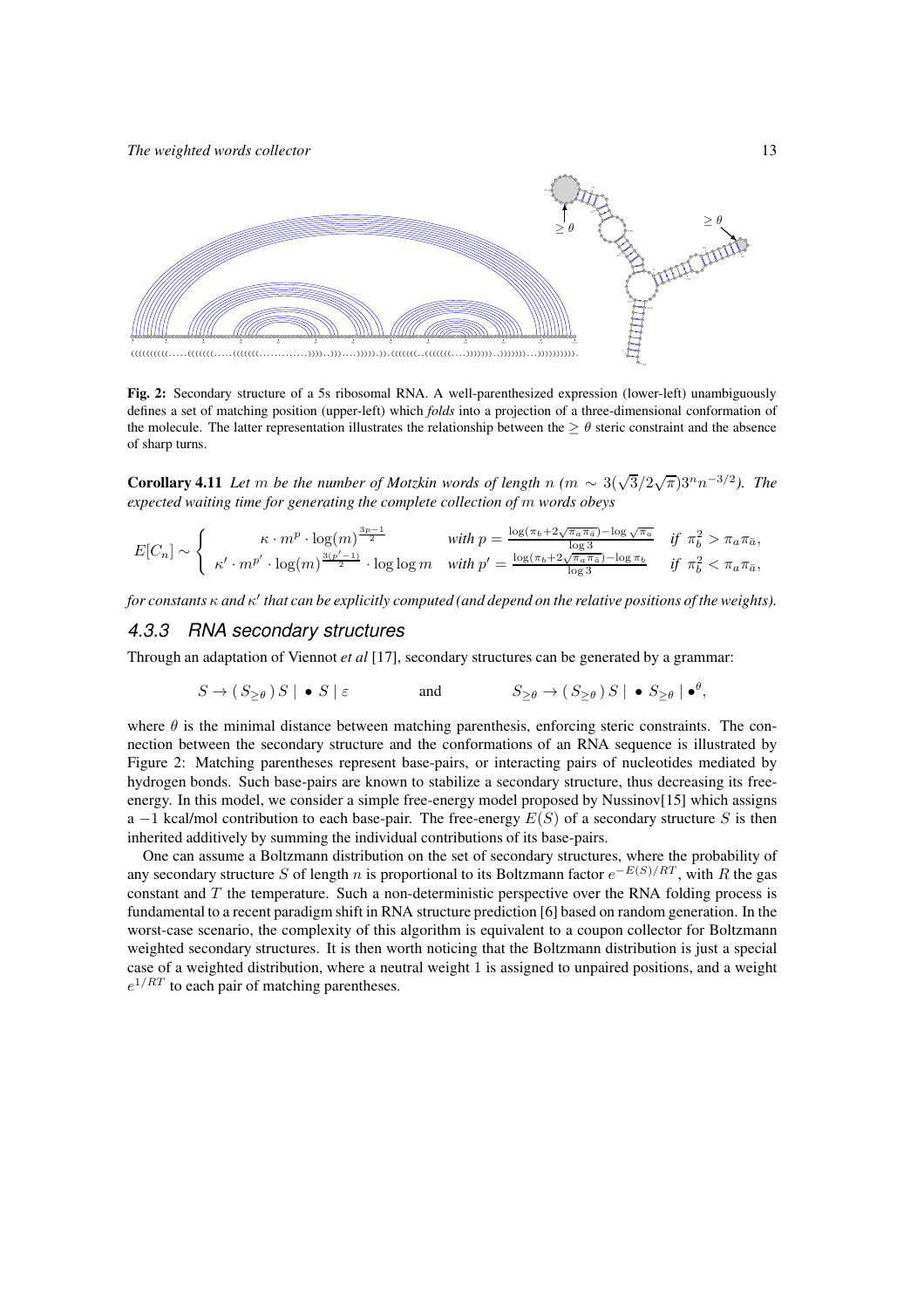

Fig. 2: Secondary structure of a 5s ribosomal RNA. A well-parenthesized expression (lower-left) unambiguously defines a set of matching position (upper-left) which *folds* into a projection of a three-dimensional conformation of the molecule. The latter representation illustrates the relationship between the  $\geq \theta$  steric constraint and the absence of sharp turns.

**Corollary 4.11** *Let* m *be the number of Motzkin words of length*  $n$  *(m*  $\sim 3(\sqrt{3}/2\sqrt{\pi})3^n n^{-3/2}$ *). The expected waiting time for generating the complete collection of* m *words obeys*

$$
E[C_n] \sim \begin{cases} \kappa \cdot m^p \cdot \log(m)^{\frac{3p-1}{2}} & \text{with } p = \frac{\log(\pi_b + 2\sqrt{\pi_a \pi_a}) - \log \sqrt{\pi_a}}{\log 3} & \text{if } \pi_b^2 > \pi_a \pi_{\bar{a}},\\ \kappa' \cdot m^{p'} \cdot \log(m)^{\frac{3(p'-1)}{2}} \cdot \log \log m & \text{with } p' = \frac{\log(\pi_b + 2\sqrt{\pi_a \pi_a}) - \log \pi_b}{\log 3} & \text{if } \pi_b^2 < \pi_a \pi_{\bar{a}}, \end{cases}
$$

*for constants* κ *and* κ ′ *that can be explicitly computed (and depend on the relative positions of the weights).*

#### *4.3.3 RNA secondary structures*

Through an adaptation of Viennot *et al* [17], secondary structures can be generated by a grammar:

$$
S \to (S_{\geq \theta}) S \mid \bullet S \mid \varepsilon \qquad \text{and} \qquad S_{\geq \theta} \to (S_{\geq \theta}) S \mid \bullet S_{\geq \theta} \mid \bullet^{\theta},
$$

where  $\theta$  is the minimal distance between matching parenthesis, enforcing steric constraints. The connection between the secondary structure and the conformations of an RNA sequence is illustrated by Figure 2: Matching parentheses represent base-pairs, or interacting pairs of nucleotides mediated by hydrogen bonds. Such base-pairs are known to stabilize a secondary structure, thus decreasing its freeenergy. In this model, we consider a simple free-energy model proposed by Nussinov[15] which assigns a  $-1$  kcal/mol contribution to each base-pair. The free-energy  $E(S)$  of a secondary structure S is then inherited additively by summing the individual contributions of its base-pairs.

One can assume a Boltzmann distribution on the set of secondary structures, where the probability of any secondary structure S of length n is proportional to its Boltzmann factor  $e^{-E(S)/RT}$ , with R the gas constant and  $T$  the temperature. Such a non-deterministic perspective over the RNA folding process is fundamental to a recent paradigm shift in RNA structure prediction [6] based on random generation. In the worst-case scenario, the complexity of this algorithm is equivalent to a coupon collector for Boltzmann weighted secondary structures. It is then worth noticing that the Boltzmann distribution is just a special case of a weighted distribution, where a neutral weight 1 is assigned to unpaired positions, and a weight  $e^{1/RT}$  to each pair of matching parentheses.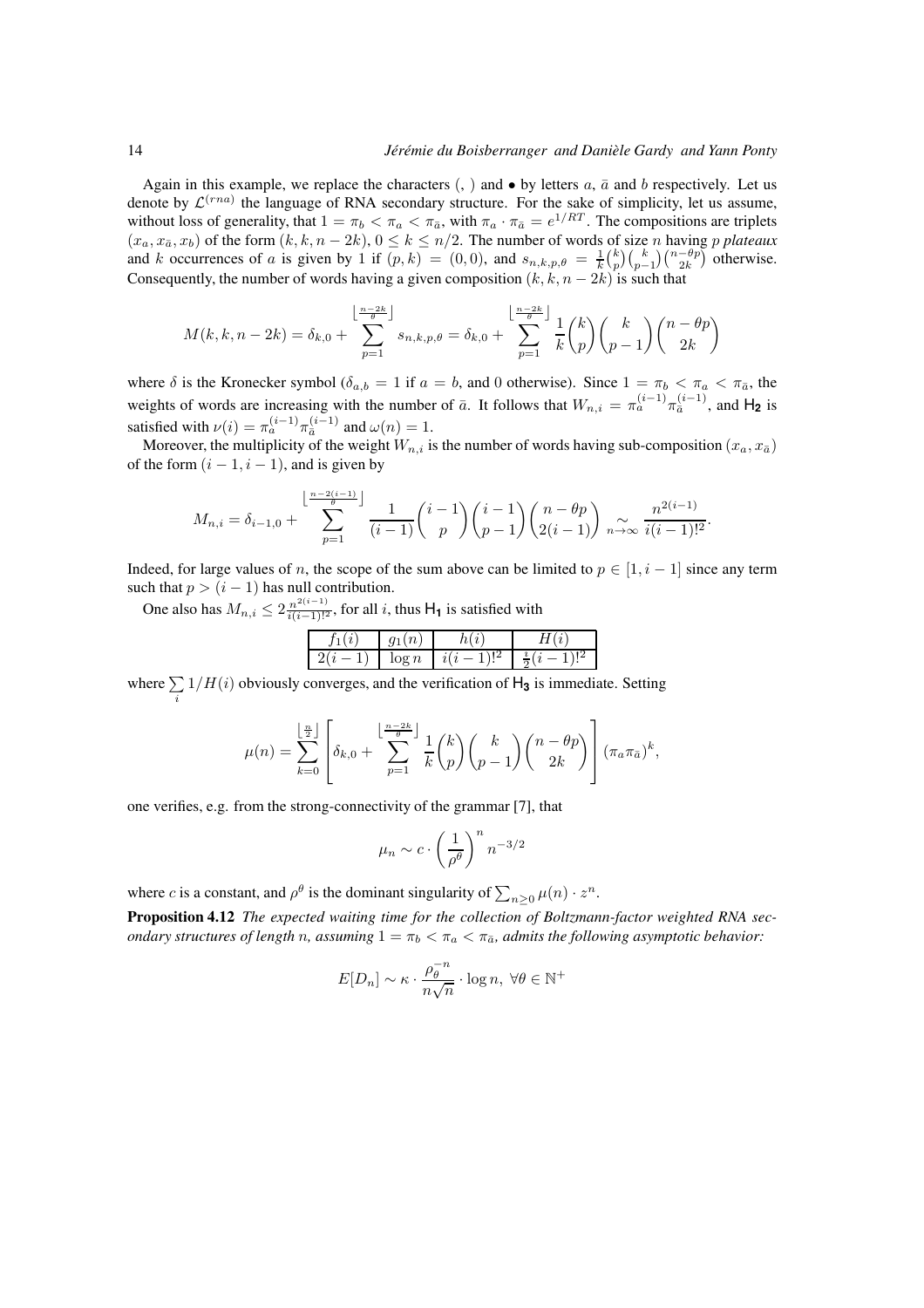Again in this example, we replace the characters  $(,)$  and  $\bullet$  by letters  $a, \bar{a}$  and  $b$  respectively. Let us denote by  $\mathcal{L}^{(rna)}$  the language of RNA secondary structure. For the sake of simplicity, let us assume, without loss of generality, that  $1 = \pi_b < \pi_a < \pi_{\bar{a}}$ , with  $\pi_a \cdot \pi_{\bar{a}} = e^{1/RT}$ . The compositions are triplets  $(x_a, x_{\bar{a}}, x_b)$  of the form  $(k, k, n - 2k)$ ,  $0 \le k \le n/2$ . The number of words of size n having p plateaux and k occurrences of a is given by 1 if  $(p, k) = (0, 0)$ , and  $s_{n,k,p,\theta} = \frac{1}{k} {k \choose p} {k \choose p-1} {n-\theta p \choose 2k}$  otherwise. Consequently, the number of words having a given composition  $(k, k, n - 2k)$  is such that

$$
M(k,k,n-2k) = \delta_{k,0} + \sum_{p=1}^{\left\lfloor \frac{n-2k}{\theta} \right\rfloor} s_{n,k,p,\theta} = \delta_{k,0} + \sum_{p=1}^{\left\lfloor \frac{n-2k}{\theta} \right\rfloor} \frac{1}{k} {k \choose p} {k \choose p-1} {n-\theta p \choose 2k}
$$

where  $\delta$  is the Kronecker symbol ( $\delta_{a,b} = 1$  if  $a = b$ , and 0 otherwise). Since  $1 = \pi_b < \pi_a < \pi_{\bar{a}}$ , the weights of words are increasing with the number of  $\bar{a}$ . It follows that  $W_{n,i} = \pi_a^{(i-1)} \pi_{\bar{a}}^{(i-1)}$ , and  $H_2$  is satisfied with  $\nu(i) = \pi_a^{(i-1)} \pi_{\bar{a}}^{(i-1)}$  and  $\omega(n) = 1$ .

Moreover, the multiplicity of the weight  $W_{n,i}$  is the number of words having sub-composition  $(x_a, x_{\bar{a}})$ of the form  $(i - 1, i - 1)$ , and is given by

$$
M_{n,i} = \delta_{i-1,0} + \sum_{p=1}^{\left\lfloor \frac{n-2(i-1)}{\theta} \right\rfloor} \frac{1}{(i-1)} {i-1 \choose p} {i-1 \choose p-1} {n-\theta p \choose 2(i-1)} \underset{n \to \infty}{\sim} \frac{n^{2(i-1)}}{i(i-1)!^2}.
$$

Indeed, for large values of n, the scope of the sum above can be limited to  $p \in [1, i - 1]$  since any term such that  $p > (i - 1)$  has null contribution.

One also has  $M_{n,i} \leq 2 \frac{n^{2(i-1)}}{i(i-1)!^2}$ , for all i, thus  $H_1$  is satisfied with

| ٠ | ۰. | u |  |
|---|----|---|--|

where  $\sum$ i  $1/H(i)$  obviously converges, and the verification of  $H_3$  is immediate. Setting

$$
\mu(n) = \sum_{k=0}^{\lfloor \frac{n}{2} \rfloor} \left[ \delta_{k,0} + \sum_{p=1}^{\lfloor \frac{n-2k}{\theta} \rfloor} \frac{1}{k} {k \choose p} {k \choose p-1} {n-\theta p \choose 2k} \right] (\pi_a \pi_{\bar{a}})^k,
$$

one verifies, e.g. from the strong-connectivity of the grammar [7], that

$$
\mu_n \sim c \cdot \left(\frac{1}{\rho^{\theta}}\right)^n n^{-3/2}
$$

where *c* is a constant, and  $\rho^{\theta}$  is the dominant singularity of  $\sum_{n\geq 0} \mu(n) \cdot z^n$ .

Proposition 4.12 *The expected waiting time for the collection of Boltzmann-factor weighted RNA secondary structures of length* n, assuming  $1 = \pi_b < \pi_a < \pi_{\bar{a}}$ , admits the following asymptotic behavior:

$$
E[D_n] \sim \kappa \cdot \frac{\rho_{\theta}^{-n}}{n\sqrt{n}} \cdot \log n, \ \forall \theta \in \mathbb{N}^+
$$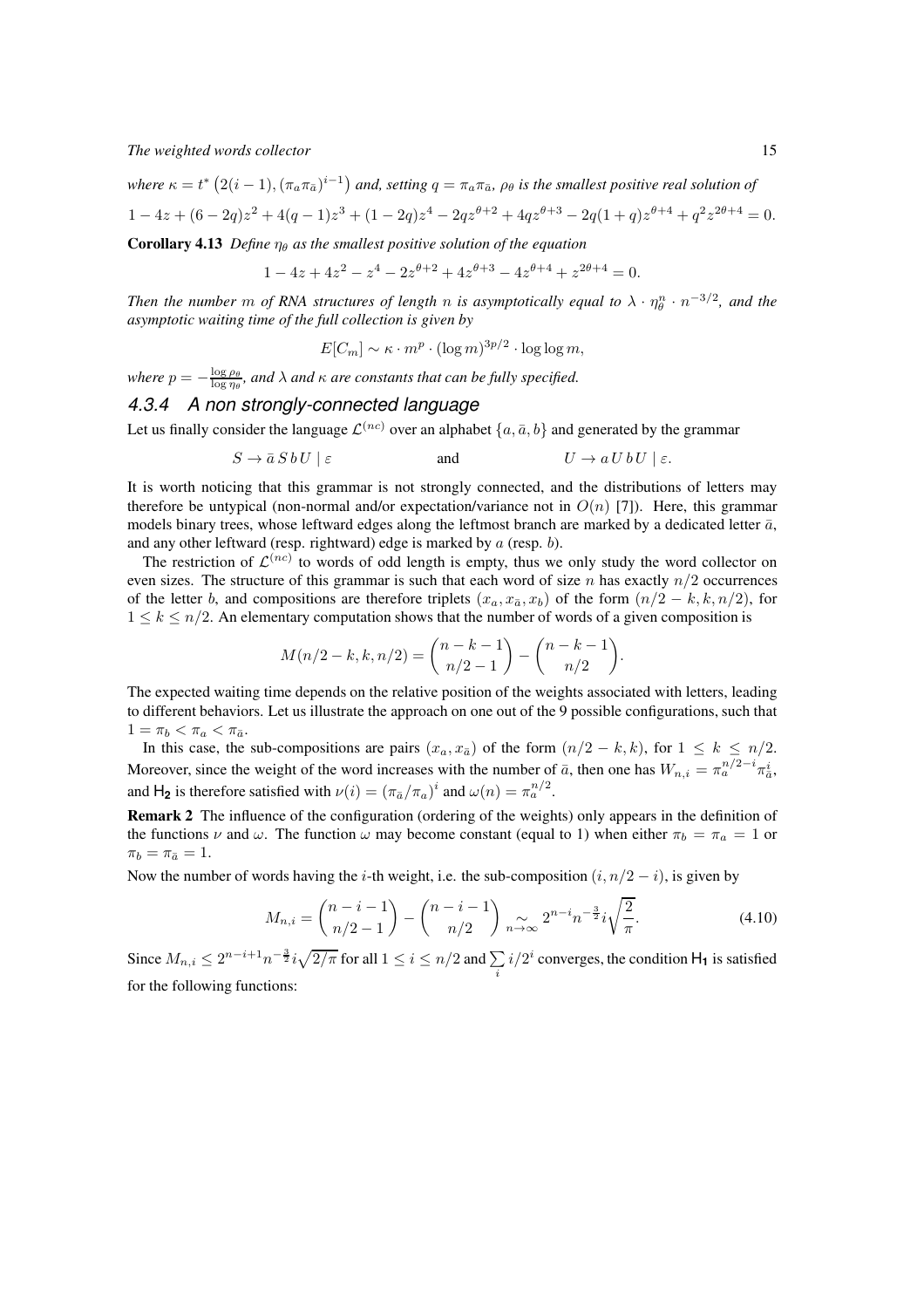$where \kappa = t^* (2(i-1), (\pi_a \pi_{\bar{a}})^{i-1})$  and, setting  $q = \pi_a \pi_{\bar{a}}$ ,  $\rho_\theta$  is the smallest positive real solution of  $1 - 4z + (6 - 2q)z^{2} + 4(q - 1)z^{3} + (1 - 2q)z^{4} - 2qz^{\theta+2} + 4qz^{\theta+3} - 2q(1 + q)z^{\theta+4} + q^{2}z^{2\theta+4} = 0.$ 

**Corollary 4.13** *Define*  $\eta_{\theta}$  *as the smallest positive solution of the equation* 

$$
1 - 4z + 4z2 - z4 - 2z\theta+2 + 4z\theta+3 - 4z\theta+4 + z2\theta+4 = 0.
$$

*Then the number*  $m$  *of RNA structures of length*  $n$  *is asymptotically equal to*  $\lambda \cdot \eta_{\theta}^n \cdot n^{-3/2}$ *, and the asymptotic waiting time of the full collection is given by*

$$
E[C_m] \sim \kappa \cdot m^p \cdot (\log m)^{3p/2} \cdot \log \log m,
$$

*where*  $p = -\frac{\log \rho_\theta}{\log \eta_\theta}$ , and  $\lambda$  and  $\kappa$  are constants that can be fully specified.

## *4.3.4 A non strongly-connected language*

Let us finally consider the language  $\mathcal{L}^{(nc)}$  over an alphabet  $\{a,\bar{a},b\}$  and generated by the grammar

$$
S \to \bar{a} S b U \mid \varepsilon \qquad \qquad \text{and} \qquad \qquad U \to a U b U \mid \varepsilon.
$$

It is worth noticing that this grammar is not strongly connected, and the distributions of letters may therefore be untypical (non-normal and/or expectation/variance not in  $O(n)$  [7]). Here, this grammar models binary trees, whose leftward edges along the leftmost branch are marked by a dedicated letter  $\bar{a}$ , and any other leftward (resp. rightward) edge is marked by a (resp. b).

The restriction of  $\mathcal{L}^{(nc)}$  to words of odd length is empty, thus we only study the word collector on even sizes. The structure of this grammar is such that each word of size n has exactly  $n/2$  occurrences of the letter b, and compositions are therefore triplets  $(x_a, x_{\bar{a}}, x_b)$  of the form  $(n/2 - k, k, n/2)$ , for  $1 \leq k \leq n/2$ . An elementary computation shows that the number of words of a given composition is

$$
M(n/2 - k, k, n/2) = {n - k - 1 \choose n/2 - 1} - {n - k - 1 \choose n/2}.
$$

The expected waiting time depends on the relative position of the weights associated with letters, leading to different behaviors. Let us illustrate the approach on one out of the 9 possible configurations, such that  $1 = \pi_b < \pi_a < \pi_{\bar{a}}$ .

In this case, the sub-compositions are pairs  $(x_a, x_{\bar{a}})$  of the form  $(n/2 - k, k)$ , for  $1 \leq k \leq n/2$ . Moreover, since the weight of the word increases with the number of  $\bar{a}$ , then one has  $W_{n,i} = \pi_a^{n/2-i} \pi_{\bar{a}}^i$ , and H<sub>2</sub> is therefore satisfied with  $\nu(i) = (\pi_{\bar{a}}/\pi_a)^i$  and  $\omega(n) = \pi_a^{n/2}$ .

Remark 2 The influence of the configuration (ordering of the weights) only appears in the definition of the functions  $\nu$  and  $\omega$ . The function  $\omega$  may become constant (equal to 1) when either  $\pi_b = \pi_a = 1$  or  $\pi_b = \pi_{\bar{a}} = 1.$ 

Now the number of words having the *i*-th weight, i.e. the sub-composition  $(i, n/2 - i)$ , is given by

$$
M_{n,i} = \binom{n-i-1}{n/2-1} - \binom{n-i-1}{n/2} \underset{n \to \infty}{\sim} 2^{n-i} n^{-\frac{3}{2}} i \sqrt{\frac{2}{\pi}}.
$$
 (4.10)

Since  $M_{n,i} \leq 2^{n-i+1} n^{-\frac{3}{2}} i \sqrt{2/\pi}$  for all  $1 \leq i \leq n/2$  and  $\sum_{i}$  $i/2^i$  converges, the condition  $H_1$  is satisfied for the following functions: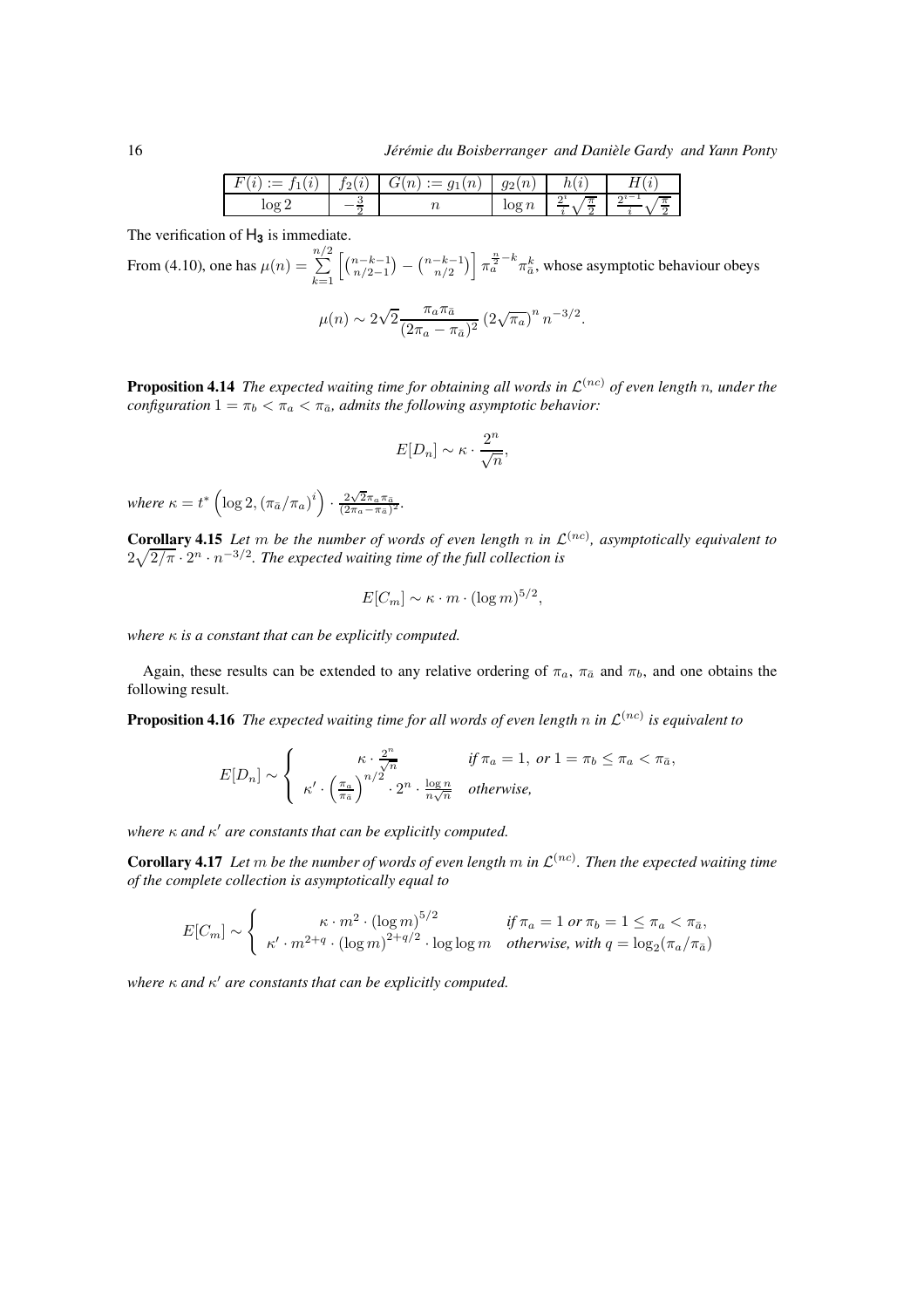|                       | $\cdot$<br>T٥I | $\sim$<br>$\boldsymbol{\iota}$<br>ີ | $\sim$<br>$\overline{g}_2$<br>v | 1 t           |                |
|-----------------------|----------------|-------------------------------------|---------------------------------|---------------|----------------|
| ΛŒ<br>10 <sub>2</sub> |                |                                     | 76<br>rog                       | $\Omega$<br>π | $\Omega$<br>70 |

The verification of H**<sup>3</sup>** is immediate.

From (4.10), one has  $\mu(n) = \sum_{n=1}^{\infty}$  $_{k=1}$  $\left[\binom{n-k-1}{n/2-1} - \binom{n-k-1}{n/2}\right] \pi_a^{\frac{n}{2}-k} \pi_{\overline{a}}^k$ , whose asymptotic behaviour obeys

$$
\mu(n) \sim 2\sqrt{2} \frac{\pi_a \pi_{\bar{a}}}{(2\pi_a - \pi_{\bar{a}})^2} (2\sqrt{\pi_a})^n n^{-3/2}.
$$

**Proposition 4.14** The expected waiting time for obtaining all words in  $\mathcal{L}^{(nc)}$  of even length n, under the *configuration*  $1 = \pi_b < \pi_a < \pi_{\bar{a}}$ *, admits the following asymptotic behavior:* 

$$
E[D_n] \sim \kappa \cdot \frac{2^n}{\sqrt{n}},
$$

where  $\kappa = t^* \left( \log 2, \left( \pi_{\bar{a}} / \pi_a \right)^i \right) \cdot \frac{2 \sqrt{2} \pi_a \pi_{\bar{a}}}{(2 \pi_a - \pi_{\bar{a}})^2}$ .

**Corollary 4.15** Let m be the number of words of even length n in  $\mathcal{L}^{(nc)}$ , asymptotically equivalent to  $2\sqrt{2/\pi} \cdot 2^n \cdot n^{-3/2}$ . The expected waiting time of the full collection is

$$
E[C_m] \sim \kappa \cdot m \cdot (\log m)^{5/2},
$$

*where* κ *is a constant that can be explicitly computed.*

Again, these results can be extended to any relative ordering of  $\pi_a$ ,  $\pi_{\bar{a}}$  and  $\pi_b$ , and one obtains the following result.

**Proposition 4.16** The expected waiting time for all words of even length  $n$  in  $\mathcal{L}^{(nc)}$  is equivalent to

$$
E[D_n] \sim \begin{cases} \kappa \cdot \frac{2^n}{\sqrt{n}} & \text{if } \pi_a = 1, \text{ or } 1 = \pi_b \le \pi_a < \pi_{\bar{a}},\\ \kappa' \cdot \left(\frac{\pi_a}{\pi_{\bar{a}}}\right)^{n/2} \cdot 2^n \cdot \frac{\log n}{n\sqrt{n}} & \text{otherwise,} \end{cases}
$$

*where* κ *and* κ ′ *are constants that can be explicitly computed.*

**Corollary 4.17** Let  $m$  be the number of words of even length  $m$  in  $\mathcal{L}^{(nc)}$ . Then the expected waiting time *of the complete collection is asymptotically equal to*

$$
E[C_m] \sim \begin{cases} \kappa \cdot m^2 \cdot (\log m)^{5/2} & \text{if } \pi_a = 1 \text{ or } \pi_b = 1 \le \pi_a < \pi_{\bar{a}},\\ \kappa' \cdot m^{2+q} \cdot (\log m)^{2+q/2} \cdot \log \log m & \text{otherwise, with } q = \log_2(\pi_a/\pi_{\bar{a}}) \end{cases}
$$

*where* κ *and* κ ′ *are constants that can be explicitly computed.*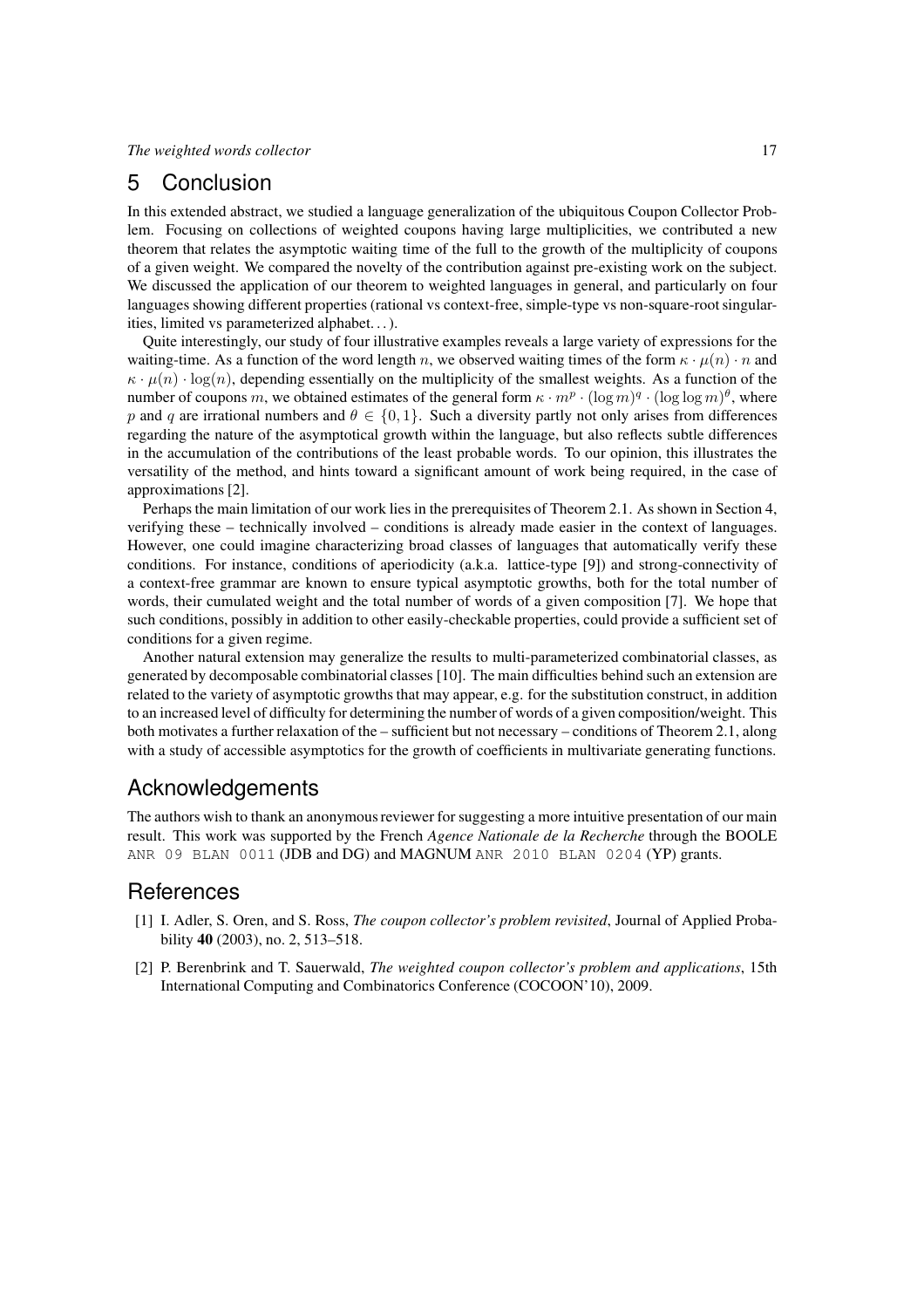## 5 Conclusion

In this extended abstract, we studied a language generalization of the ubiquitous Coupon Collector Problem. Focusing on collections of weighted coupons having large multiplicities, we contributed a new theorem that relates the asymptotic waiting time of the full to the growth of the multiplicity of coupons of a given weight. We compared the novelty of the contribution against pre-existing work on the subject. We discussed the application of our theorem to weighted languages in general, and particularly on four languages showing different properties (rational vs context-free, simple-type vs non-square-root singularities, limited vs parameterized alphabet. . . ).

Quite interestingly, our study of four illustrative examples reveals a large variety of expressions for the waiting-time. As a function of the word length n, we observed waiting times of the form  $\kappa \cdot \mu(n) \cdot n$  and  $\kappa \cdot \mu(n) \cdot \log(n)$ , depending essentially on the multiplicity of the smallest weights. As a function of the number of coupons m, we obtained estimates of the general form  $\kappa \cdot m^p \cdot (\log m)^q \cdot (\log \log m)^{\theta}$ , where p and q are irrational numbers and  $\theta \in \{0, 1\}$ . Such a diversity partly not only arises from differences regarding the nature of the asymptotical growth within the language, but also reflects subtle differences in the accumulation of the contributions of the least probable words. To our opinion, this illustrates the versatility of the method, and hints toward a significant amount of work being required, in the case of approximations [2].

Perhaps the main limitation of our work lies in the prerequisites of Theorem 2.1. As shown in Section 4, verifying these – technically involved – conditions is already made easier in the context of languages. However, one could imagine characterizing broad classes of languages that automatically verify these conditions. For instance, conditions of aperiodicity (a.k.a. lattice-type [9]) and strong-connectivity of a context-free grammar are known to ensure typical asymptotic growths, both for the total number of words, their cumulated weight and the total number of words of a given composition [7]. We hope that such conditions, possibly in addition to other easily-checkable properties, could provide a sufficient set of conditions for a given regime.

Another natural extension may generalize the results to multi-parameterized combinatorial classes, as generated by decomposable combinatorial classes [10]. The main difficulties behind such an extension are related to the variety of asymptotic growths that may appear, e.g. for the substitution construct, in addition to an increased level of difficulty for determining the number of words of a given composition/weight. This both motivates a further relaxation of the – sufficient but not necessary – conditions of Theorem 2.1, along with a study of accessible asymptotics for the growth of coefficients in multivariate generating functions.

## Acknowledgements

The authors wish to thank an anonymous reviewer for suggesting a more intuitive presentation of our main result. This work was supported by the French *Agence Nationale de la Recherche* through the BOOLE ANR 09 BLAN 0011 (JDB and DG) and MAGNUM ANR 2010 BLAN 0204 (YP) grants.

## **References**

- [1] I. Adler, S. Oren, and S. Ross, *The coupon collector's problem revisited*, Journal of Applied Probability 40 (2003), no. 2, 513–518.
- [2] P. Berenbrink and T. Sauerwald, *The weighted coupon collector's problem and applications*, 15th International Computing and Combinatorics Conference (COCOON'10), 2009.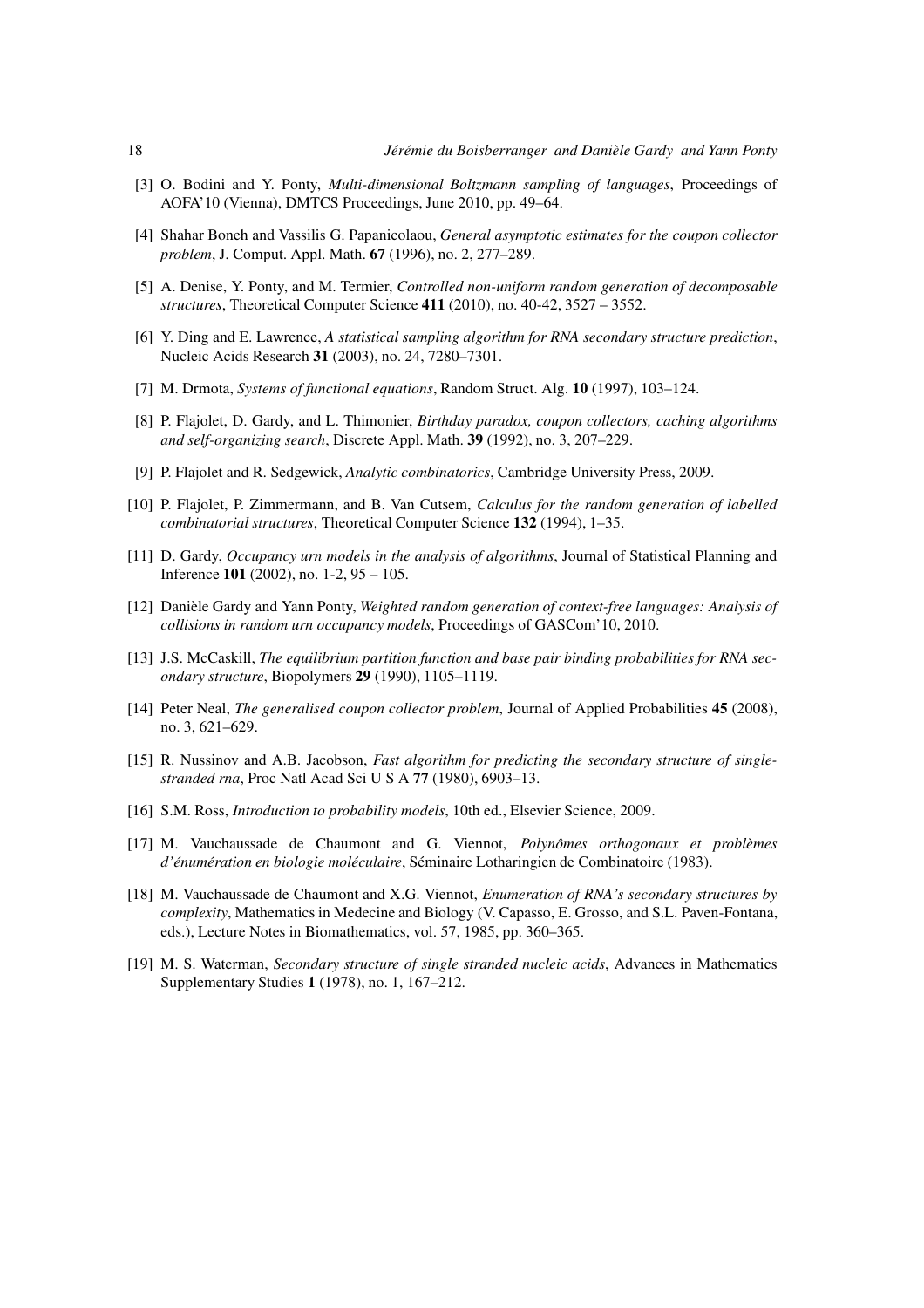- [3] O. Bodini and Y. Ponty, *Multi-dimensional Boltzmann sampling of languages*, Proceedings of AOFA'10 (Vienna), DMTCS Proceedings, June 2010, pp. 49–64.
- [4] Shahar Boneh and Vassilis G. Papanicolaou, *General asymptotic estimates for the coupon collector problem*, J. Comput. Appl. Math. 67 (1996), no. 2, 277–289.
- [5] A. Denise, Y. Ponty, and M. Termier, *Controlled non-uniform random generation of decomposable structures*, Theoretical Computer Science 411 (2010), no. 40-42, 3527 – 3552.
- [6] Y. Ding and E. Lawrence, *A statistical sampling algorithm for RNA secondary structure prediction*, Nucleic Acids Research 31 (2003), no. 24, 7280–7301.
- [7] M. Drmota, *Systems of functional equations*, Random Struct. Alg. 10 (1997), 103–124.
- [8] P. Flajolet, D. Gardy, and L. Thimonier, *Birthday paradox, coupon collectors, caching algorithms and self-organizing search*, Discrete Appl. Math. 39 (1992), no. 3, 207–229.
- [9] P. Flajolet and R. Sedgewick, *Analytic combinatorics*, Cambridge University Press, 2009.
- [10] P. Flajolet, P. Zimmermann, and B. Van Cutsem, *Calculus for the random generation of labelled combinatorial structures*, Theoretical Computer Science 132 (1994), 1–35.
- [11] D. Gardy, *Occupancy urn models in the analysis of algorithms*, Journal of Statistical Planning and Inference 101 (2002), no. 1-2, 95 – 105.
- [12] Danièle Gardy and Yann Ponty, *Weighted random generation of context-free languages: Analysis of collisions in random urn occupancy models*, Proceedings of GASCom'10, 2010.
- [13] J.S. McCaskill, *The equilibrium partition function and base pair binding probabilities for RNA secondary structure*, Biopolymers 29 (1990), 1105–1119.
- [14] Peter Neal, *The generalised coupon collector problem*, Journal of Applied Probabilities 45 (2008), no. 3, 621–629.
- [15] R. Nussinov and A.B. Jacobson, *Fast algorithm for predicting the secondary structure of singlestranded rna*, Proc Natl Acad Sci U S A 77 (1980), 6903–13.
- [16] S.M. Ross, *Introduction to probability models*, 10th ed., Elsevier Science, 2009.
- [17] M. Vauchaussade de Chaumont and G. Viennot, *Polynômes orthogonaux et problèmes d'enum ´ eration en biologie mol ´ eculaire ´* , S´eminaire Lotharingien de Combinatoire (1983).
- [18] M. Vauchaussade de Chaumont and X.G. Viennot, *Enumeration of RNA's secondary structures by complexity*, Mathematics in Medecine and Biology (V. Capasso, E. Grosso, and S.L. Paven-Fontana, eds.), Lecture Notes in Biomathematics, vol. 57, 1985, pp. 360–365.
- [19] M. S. Waterman, *Secondary structure of single stranded nucleic acids*, Advances in Mathematics Supplementary Studies 1 (1978), no. 1, 167–212.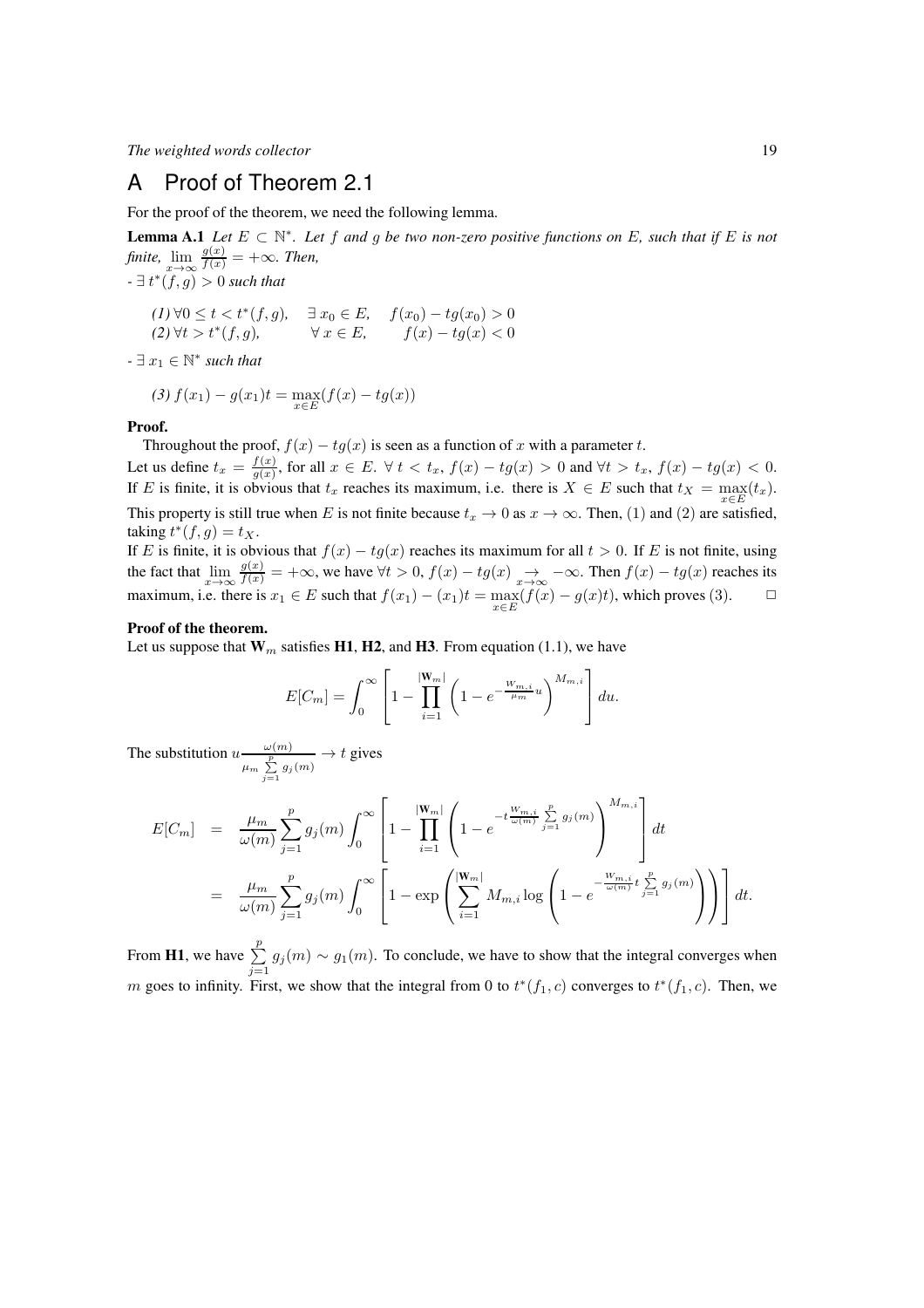## A Proof of Theorem 2.1

For the proof of the theorem, we need the following lemma.

**Lemma A.1** *Let*  $E \subset \mathbb{N}^*$ *. Let*  $f$  *and*  $g$  *be two non-zero positive functions on*  $E$ *, such that if*  $E$  *is not finite,*  $\lim_{x \to \infty} \frac{g(x)}{f(x)} = +\infty$ *. Then,*  $- \exists t^*(f,g) > 0$  *such that* 

$$
(1) \forall 0 \le t < t^*(f, g), \quad \exists x_0 \in E, \quad f(x_0) - tg(x_0) > 0
$$
  

$$
(2) \forall t > t^*(f, g), \quad \forall x \in E, \quad f(x) - tg(x) < 0
$$

 $- \exists x_1 \in \mathbb{N}^*$  *such that* 

$$
(3) f(x_1) - g(x_1)t = \max_{x \in E} (f(x) - tg(x))
$$

#### Proof.

Throughout the proof,  $f(x) - tg(x)$  is seen as a function of x with a parameter t. Let us define  $t_x = \frac{f(x)}{g(x)}$  $\frac{f(x)}{g(x)}$ , for all  $x \in E$ .  $\forall t < t_x$ ,  $f(x) - tg(x) > 0$  and  $\forall t > t_x$ ,  $f(x) - tg(x) < 0$ . If E is finite, it is obvious that  $t_x$  reaches its maximum, i.e. there is  $X \in E$  such that  $t_X = \max_{x \in E} (t_x)$ . This property is still true when E is not finite because  $t_x \to 0$  as  $x \to \infty$ . Then, (1) and (2) are satisfied, taking  $t^*(f,g) = t_X$ .

If E is finite, it is obvious that  $f(x) - tg(x)$  reaches its maximum for all  $t > 0$ . If E is not finite, using the fact that  $\lim_{x\to\infty} \frac{g(x)}{f(x)} = +\infty$ , we have  $\forall t > 0$ ,  $f(x) - tg(x) \to -\infty$ . Then  $f(x) - tg(x)$  reaches its maximum, i.e. there is  $x_1 \in E$  such that  $f(x_1) - (x_1)t = \max_{x \in E} (f(x) - g(x)t)$ , which proves (3).  $\Box$ 

#### Proof of the theorem.

Let us suppose that  $W_m$  satisfies H1, H2, and H3. From equation (1.1), we have

$$
E[C_m] = \int_0^\infty \left[ 1 - \prod_{i=1}^{|W_m|} \left( 1 - e^{-\frac{W_{m,i}}{\mu_m} u} \right)^{M_{m,i}} \right] du.
$$

The substitution  $u \frac{\omega(m)}{p}$  $\frac{\omega(m)}{\mu_m \sum\limits_{j=1}^p g_j(m)} \rightarrow t$  gives

$$
E[C_m] = \frac{\mu_m}{\omega(m)} \sum_{j=1}^p g_j(m) \int_0^\infty \left[ 1 - \prod_{i=1}^{|W_m|} \left( 1 - e^{-t \frac{W_{m,i}}{\omega(m)}} \sum_{j=1}^p g_j(m) \right)^{M_{m,i}} \right] dt
$$
  

$$
= \frac{\mu_m}{\omega(m)} \sum_{j=1}^p g_j(m) \int_0^\infty \left[ 1 - \exp \left( \sum_{i=1}^{|W_m|} M_{m,i} \log \left( 1 - e^{-\frac{W_{m,i}}{\omega(m)}} t \sum_{j=1}^p g_j(m) \right) \right) \right] dt.
$$

From **H1**, we have  $\sum_{n=1}^{p}$  $\sum_{j=1} g_j(m) \sim g_1(m)$ . To conclude, we have to show that the integral converges when m goes to infinity. First, we show that the integral from 0 to  $t^*(f_1, c)$  converges to  $t^*(f_1, c)$ . Then, we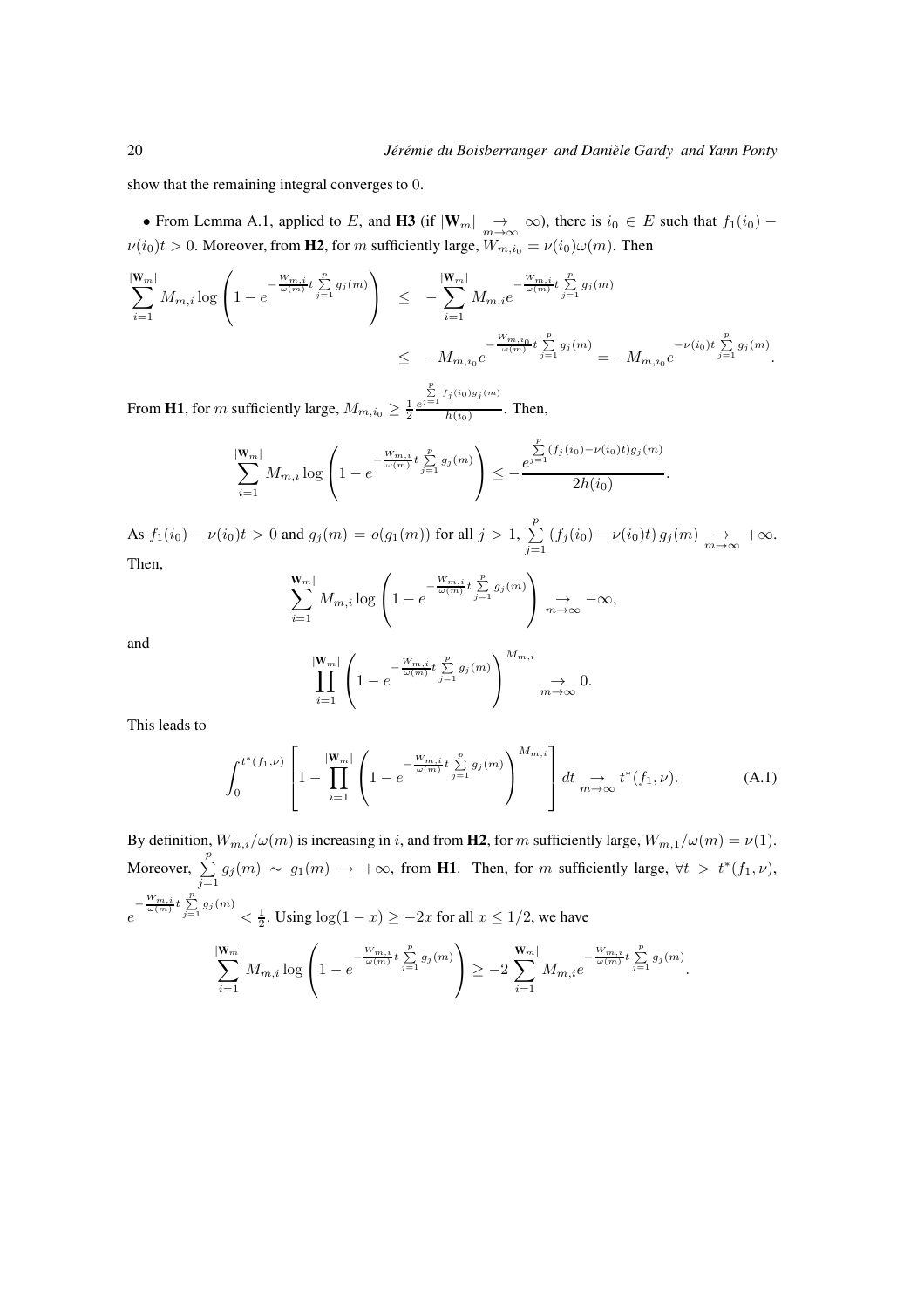.

show that the remaining integral converges to 0.

• From Lemma A.1, applied to E, and H3 (if  $|\mathbf{W}_m| \to \infty$ ), there is  $i_0 \in E$  such that  $f_1(i_0) \nu(i_0)t > 0$ . Moreover, from **H2**, for m sufficiently large,  $W_{m,i_0} = \nu(i_0)\omega(m)$ . Then

$$
\sum_{i=1}^{|W_m|} M_{m,i} \log \left( 1 - e^{-\frac{W_{m,i}}{\omega(m)} t} \sum_{j=1}^p g_j(m) \right) \le -\sum_{i=1}^{|W_m|} M_{m,i} e^{-\frac{W_{m,i}}{\omega(m)} t} \sum_{j=1}^p g_j(m) \le -M_{m,i_0} e^{-\frac{W_{m,i_0}}{\omega(m)} t} \sum_{j=1}^p g_j(m) = -M_{m,i_0} e^{-\nu(i_0) t} \sum_{j=1}^p g_j(m).
$$

From **H1**, for m sufficiently large,  $M_{m,i_0} \geq \frac{1}{2} \frac{e}{2}$  $\sum_{j=1}^p f_j(i_0)g_j(m)$  $\frac{h(i_0)}{h(i_0)}$ . Then,

$$
\sum_{i=1}^{|W_m|} M_{m,i} \log \left( 1 - e^{-\frac{W_{m,i}}{\omega(m)} t} \sum_{j=1}^p g_j(m) \right) \leq -\frac{\sum_{j=1}^p (f_j(i_0) - \nu(i_0)t) g_j(m)}{2h(i_0)}
$$

As  $f_1(i_0) - \nu(i_0)t > 0$  and  $g_j(m) = o(g_1(m))$  for all  $j > 1$ ,  $\sum_{i=1}^{p}$  $\sum_{j=1} (f_j(i_0) - \nu(i_0)t) g_j(m) \underset{m \to \infty}{\to} +\infty.$ Then,

$$
\sum_{i=1}^{|W_m|} M_{m,i} \log \left( 1 - e^{-\frac{W_{m,i}}{\omega(m)} t} \sum_{j=1}^p g_j(m) \right) \underset{m \to \infty}{\to} -\infty,
$$

and

$$
\prod_{i=1}^{|W_m|} \left(1 - e^{-\frac{W_{m,i}}{\omega(m)}t} \sum_{j=1}^p g_j(m) \right)^{M_{m,i}} \longrightarrow 0.
$$

This leads to

 $i=1$ 

$$
\int_0^{t^*(f_1,\nu)} \left[1 - \prod_{i=1}^{|W_m|} \left(1 - e^{-\frac{W_{m,i}}{\omega(m)}t} \sum_{j=1}^p g_j(m) \right)^{M_{m,i}} \right] dt \underset{m \to \infty}{\to} t^*(f_1,\nu). \tag{A.1}
$$

 $i=1$ 

By definition,  $W_{m,i}/\omega(m)$  is increasing in i, and from **H2**, for m sufficiently large,  $W_{m,1}/\omega(m) = \nu(1)$ . Moreover,  $\sum_{n=1}^{\infty}$  $\sum_{j=1} g_j(m) \sim g_1(m) \to +\infty$ , from **H1**. Then, for m sufficiently large,  $\forall t > t^*(f_1, \nu)$ ,  $e^{-\frac{W_{m,i}}{\omega(m)}t} \sum_{j=1}^{p} g_j(m)$   $\lt \frac{1}{2}$ . Using  $\log(1-x) \ge -2x$  for all  $x \le 1/2$ , we have  $\sum_{m}$  $\mathbf{W}_m$  |  $M_{m,i}$  log  $\sqrt{ }$  $\left(1 - e^{-\frac{W_{m,i}}{\omega(m)}t\sum\limits_{j=1}^{p} g_j(m)}\right)$  $\Big| \geq -2$  $\sum_{ }^{|\mathbf{W}_m|}$  $|\mathbf{W}_m|$  $M_{m,i}e^{-\frac{W_{m,i}}{\omega(m)}t\sum\limits_{j=1}^{p}g_{j}(m)}.$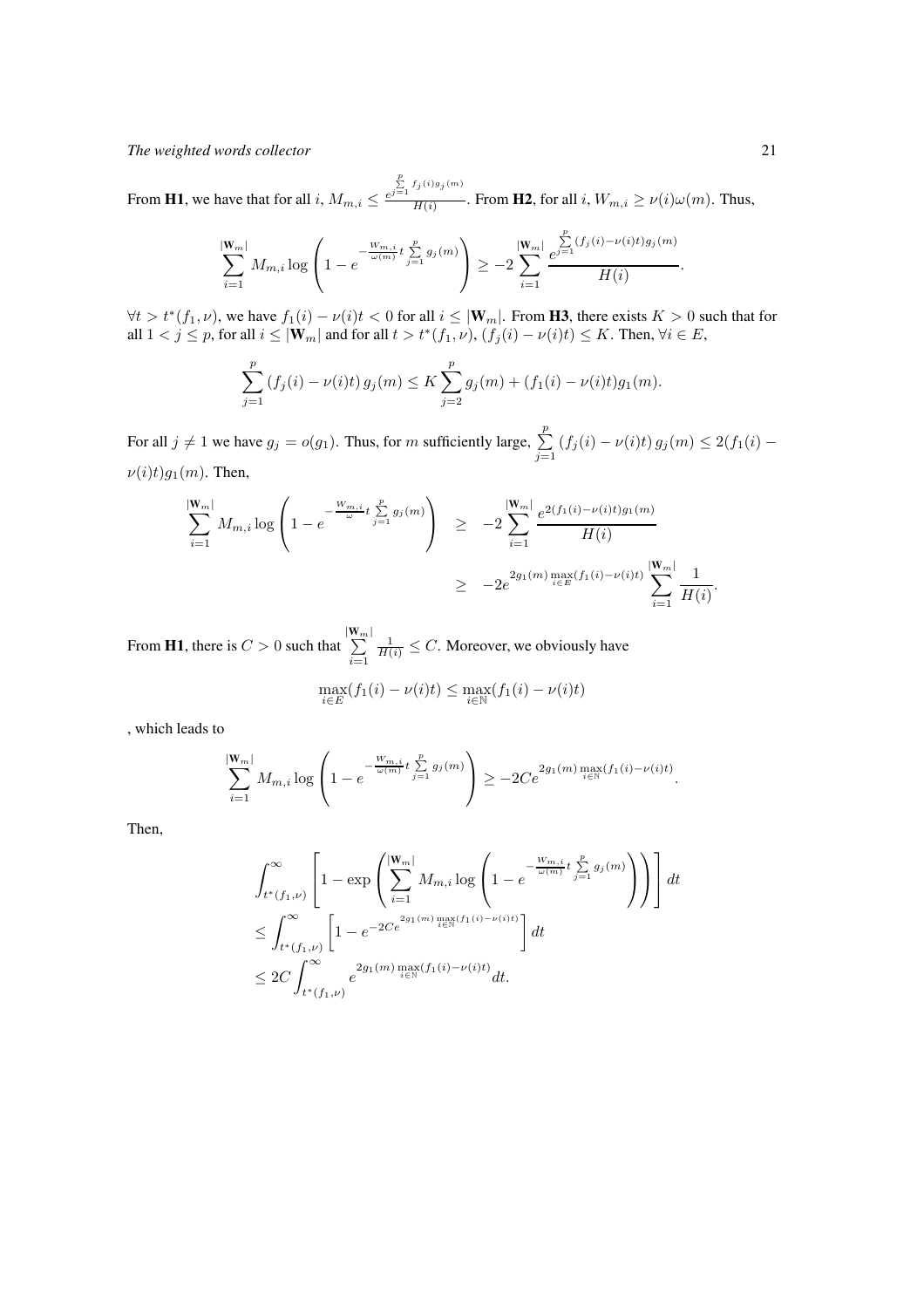From **H1**, we have that for all *i*,  $M_{m,i} \leq \frac{e}{h}$  $\sum_{j=1}^p f_j(i)g_j(m)$  $\frac{H(i)}{H(i)}$ . From **H2**, for all  $i, W_{m,i} \ge \nu(i)\omega(m)$ . Thus,

$$
\sum_{i=1}^{|W_m|} M_{m,i} \log \left( 1 - e^{-\frac{W_{m,i}}{\omega(m)} t} \sum_{j=1}^p g_j(m) \right) \ge -2 \sum_{i=1}^{|W_m|} \frac{e^{ \sum_{j=1}^p (f_j(i) - \nu(i)t) g_j(m)}}{H(i)}.
$$

 $\forall t > t^*(f_1, \nu)$ , we have  $f_1(i) - \nu(i)t < 0$  for all  $i \leq |\mathbf{W}_m|$ . From **H3**, there exists  $K > 0$  such that for all  $1 < j \le p$ , for all  $i \le |\mathbf{W}_m|$  and for all  $t > t^*(f_1, \nu)$ ,  $(f_j(i) - \nu(i)t) \le K$ . Then,  $\forall i \in E$ ,

$$
\sum_{j=1}^p (f_j(i) - \nu(i)t) g_j(m) \le K \sum_{j=2}^p g_j(m) + (f_1(i) - \nu(i)t) g_1(m).
$$

For all  $j \neq 1$  we have  $g_j = o(g_1)$ . Thus, for m sufficiently large,  $\sum_{j=1}^p (f_j(i) - \nu(i)t) g_j(m) \leq 2(f_1(i) \nu(i)t)g_1(m)$ . Then,

$$
\sum_{i=1}^{|\mathbf{W}_{m}|} M_{m,i} \log \left( 1 - e^{-\frac{W_{m,i}}{\omega}t} \sum_{j=1}^{p} g_j(m) \right) \ge -2 \sum_{i=1}^{|\mathbf{W}_{m}|} \frac{e^{2(f_1(i) - \nu(i)t)g_1(m)}}{H(i)} \ge -2e^{2g_1(m) \max_{i \in E} (f_1(i) - \nu(i)t)} \sum_{i=1}^{|\mathbf{W}_{m}|} \frac{1}{H(i)}.
$$

From **H1**, there is  $C > 0$  such that  $\sum^{|\mathbf{W}_m|}$  $i=1$  $\frac{1}{H(i)} \leq C$ . Moreover, we obviously have

$$
\max_{i \in E} (f_1(i) - \nu(i)t) \le \max_{i \in \mathbb{N}} (f_1(i) - \nu(i)t)
$$

, which leads to

$$
\sum_{i=1}^{|W_m|} M_{m,i} \log \left( 1 - e^{-\frac{W_{m,i}}{\omega(m)} t} \sum_{j=1}^p g_j(m) \right) \ge -2Ce^{2g_1(m) \max_{i \in \mathbb{N}} (f_1(i) - \nu(i)t)}.
$$

Then,

$$
\int_{t^*(f_1,\nu)}^{\infty} \left[1 - \exp\left(\sum_{i=1}^{|W_m|} M_{m,i} \log\left(1 - e^{-\frac{W_{m,i}}{\omega(m)}t} \sum_{j=1}^p g_j(m)}\right)\right)\right] dt
$$
\n
$$
\leq \int_{t^*(f_1,\nu)}^{\infty} \left[1 - e^{-2Ce^{2g_1(m)} \max_{i \in \mathbb{N}} (f_1(i) - \nu(i)t)}\right] dt
$$
\n
$$
\leq 2C \int_{t^*(f_1,\nu)}^{\infty} e^{2g_1(m) \max_{i \in \mathbb{N}} (f_1(i) - \nu(i)t)} dt.
$$